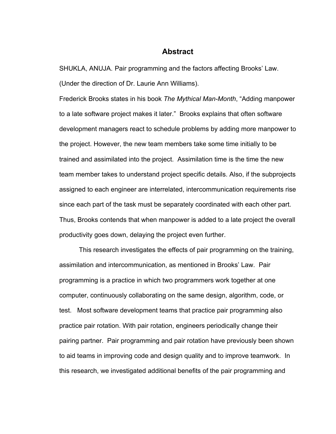# **Abstract**

SHUKLA, ANUJA. Pair programming and the factors affecting Brooks' Law. (Under the direction of Dr. Laurie Ann Williams).

Frederick Brooks states in his book *The Mythical Man-Month*, "Adding manpower to a late software project makes it later." Brooks explains that often software development managers react to schedule problems by adding more manpower to the project. However, the new team members take some time initially to be trained and assimilated into the project. Assimilation time is the time the new team member takes to understand project specific details. Also, if the subprojects assigned to each engineer are interrelated, intercommunication requirements rise since each part of the task must be separately coordinated with each other part. Thus, Brooks contends that when manpower is added to a late project the overall productivity goes down, delaying the project even further.

This research investigates the effects of pair programming on the training, assimilation and intercommunication, as mentioned in Brooks' Law. Pair programming is a practice in which two programmers work together at one computer, continuously collaborating on the same design, algorithm, code, or test. Most software development teams that practice pair programming also practice pair rotation. With pair rotation, engineers periodically change their pairing partner. Pair programming and pair rotation have previously been shown to aid teams in improving code and design quality and to improve teamwork. In this research, we investigated additional benefits of the pair programming and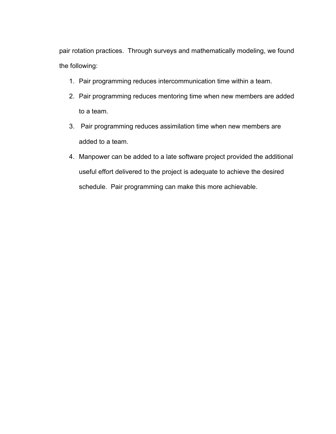pair rotation practices. Through surveys and mathematically modeling, we found the following:

- 1. Pair programming reduces intercommunication time within a team.
- 2. Pair programming reduces mentoring time when new members are added to a team.
- 3. Pair programming reduces assimilation time when new members are added to a team.
- 4. Manpower can be added to a late software project provided the additional useful effort delivered to the project is adequate to achieve the desired schedule. Pair programming can make this more achievable.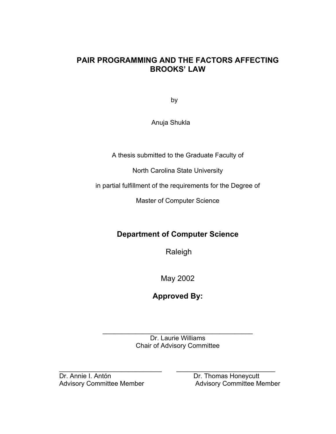# **PAIR PROGRAMMING AND THE FACTORS AFFECTING BROOKS' LAW**

by

Anuja Shukla

A thesis submitted to the Graduate Faculty of

North Carolina State University

in partial fulfillment of the requirements for the Degree of

Master of Computer Science

# **Department of Computer Science**

Raleigh

May 2002

**Approved By:** 

 $\mathcal{L}_\text{max}$  , we can also assume that the contract of  $\mathcal{L}_\text{max}$ Dr. Laurie Williams Chair of Advisory Committee

Advisory Committee Member

\_\_\_\_\_\_\_\_\_\_\_\_\_\_\_\_\_\_\_\_\_\_\_\_\_\_\_\_ \_\_\_\_\_\_\_\_\_\_\_\_\_\_\_\_\_\_\_\_\_\_\_\_\_\_\_ Dr. Annie I. Antón Dr. Thomas Honeycutt<br>
Advisory Committee Member Advisory Committee Member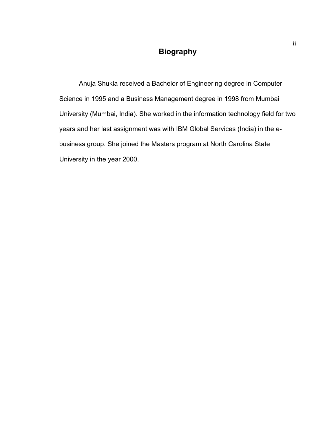# **Biography**

Anuja Shukla received a Bachelor of Engineering degree in Computer Science in 1995 and a Business Management degree in 1998 from Mumbai University (Mumbai, India). She worked in the information technology field for two years and her last assignment was with IBM Global Services (India) in the ebusiness group. She joined the Masters program at North Carolina State University in the year 2000.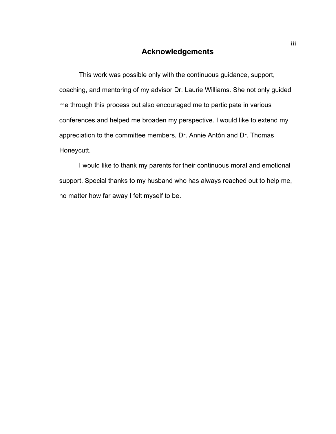# **Acknowledgements**

This work was possible only with the continuous guidance, support, coaching, and mentoring of my advisor Dr. Laurie Williams. She not only guided me through this process but also encouraged me to participate in various conferences and helped me broaden my perspective. I would like to extend my appreciation to the committee members, Dr. Annie Antón and Dr. Thomas Honeycutt.

I would like to thank my parents for their continuous moral and emotional support. Special thanks to my husband who has always reached out to help me, no matter how far away I felt myself to be.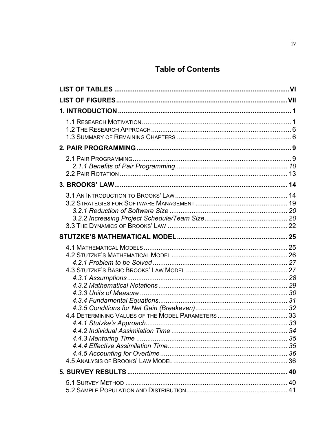# **Table of Contents**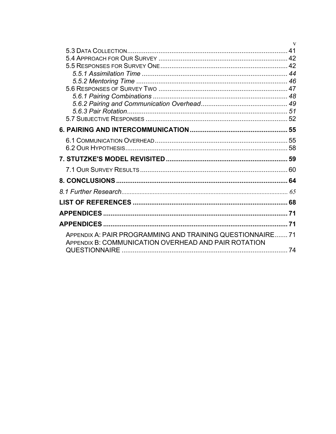|                                                                                                                    | $\mathbf{V}$ |
|--------------------------------------------------------------------------------------------------------------------|--------------|
|                                                                                                                    | 41           |
|                                                                                                                    |              |
|                                                                                                                    |              |
|                                                                                                                    |              |
|                                                                                                                    |              |
|                                                                                                                    |              |
|                                                                                                                    |              |
|                                                                                                                    |              |
|                                                                                                                    |              |
|                                                                                                                    |              |
|                                                                                                                    |              |
|                                                                                                                    |              |
|                                                                                                                    |              |
|                                                                                                                    |              |
|                                                                                                                    |              |
|                                                                                                                    | 64           |
|                                                                                                                    |              |
|                                                                                                                    | 68           |
|                                                                                                                    | 71           |
|                                                                                                                    |              |
| APPENDIX A: PAIR PROGRAMMING AND TRAINING QUESTIONNAIRE 71<br>APPENDIX B: COMMUNICATION OVERHEAD AND PAIR ROTATION |              |
|                                                                                                                    | 74           |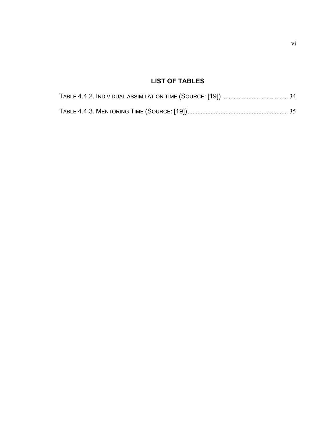# **LIST OF TABLES**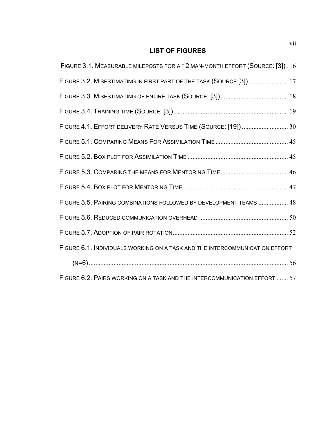# **LIST OF FIGURES**

| FIGURE 3.1. MEASURABLE MILEPOSTS FOR A 12 MAN-MONTH EFFORT (SOURCE: [3]). 16 |
|------------------------------------------------------------------------------|
| FIGURE 3.2. MISESTIMATING IN FIRST PART OF THE TASK (SOURCE [3]) 17          |
|                                                                              |
|                                                                              |
| FIGURE 4.1. EFFORT DELIVERY RATE VERSUS TIME (SOURCE: [19])  30              |
|                                                                              |
|                                                                              |
|                                                                              |
|                                                                              |
| FIGURE 5.5. PAIRING COMBINATIONS FOLLOWED BY DEVELOPMENT TEAMS  48           |
|                                                                              |
|                                                                              |
| FIGURE 6.1. INDIVIDUALS WORKING ON A TASK AND THE INTERCOMMUNICATION EFFORT  |
|                                                                              |
| FIGURE 6.2. PAIRS WORKING ON A TASK AND THE INTERCOMMUNICATION EFFORT  57    |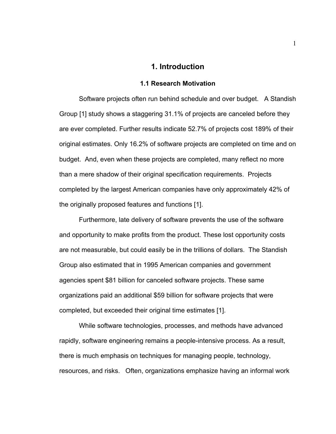## **1. Introduction**

#### **1.1 Research Motivation**

Software projects often run behind schedule and over budget. A Standish Group [1] study shows a staggering 31.1% of projects are canceled before they are ever completed. Further results indicate 52.7% of projects cost 189% of their original estimates. Only 16.2% of software projects are completed on time and on budget. And, even when these projects are completed, many reflect no more than a mere shadow of their original specification requirements. Projects completed by the largest American companies have only approximately 42% of the originally proposed features and functions [1].

Furthermore, late delivery of software prevents the use of the software and opportunity to make profits from the product. These lost opportunity costs are not measurable, but could easily be in the trillions of dollars. The Standish Group also estimated that in 1995 American companies and government agencies spent \$81 billion for canceled software projects. These same organizations paid an additional \$59 billion for software projects that were completed, but exceeded their original time estimates [1].

While software technologies, processes, and methods have advanced rapidly, software engineering remains a people-intensive process. As a result, there is much emphasis on techniques for managing people, technology, resources, and risks. Often, organizations emphasize having an informal work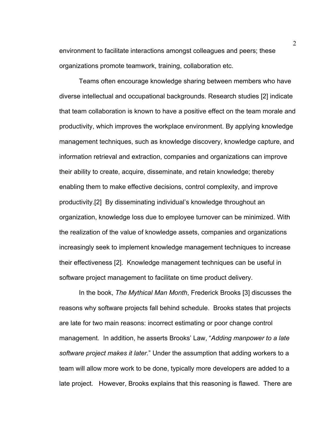environment to facilitate interactions amongst colleagues and peers; these organizations promote teamwork, training, collaboration etc.

Teams often encourage knowledge sharing between members who have diverse intellectual and occupational backgrounds. Research studies [2] indicate that team collaboration is known to have a positive effect on the team morale and productivity, which improves the workplace environment. By applying knowledge management techniques, such as knowledge discovery, knowledge capture, and information retrieval and extraction, companies and organizations can improve their ability to create, acquire, disseminate, and retain knowledge; thereby enabling them to make effective decisions, control complexity, and improve productivity.[2] By disseminating individual's knowledge throughout an organization, knowledge loss due to employee turnover can be minimized. With the realization of the value of knowledge assets, companies and organizations increasingly seek to implement knowledge management techniques to increase their effectiveness [2]. Knowledge management techniques can be useful in software project management to facilitate on time product delivery.

In the book, *The Mythical Man Month*, Frederick Brooks [3] discusses the reasons why software projects fall behind schedule. Brooks states that projects are late for two main reasons: incorrect estimating or poor change control management. In addition, he asserts Brooks' Law, "*Adding manpower to a late software project makes it later.*" Under the assumption that adding workers to a team will allow more work to be done, typically more developers are added to a late project. However, Brooks explains that this reasoning is flawed. There are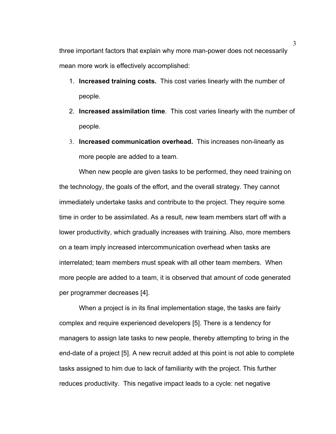three important factors that explain why more man-power does not necessarily mean more work is effectively accomplished:

- 1. **Increased training costs.** This cost varies linearly with the number of people.
- 2. **Increased assimilation time**. This cost varies linearly with the number of people.
- 3. **Increased communication overhead.** This increases non-linearly as more people are added to a team.

When new people are given tasks to be performed, they need training on the technology, the goals of the effort, and the overall strategy. They cannot immediately undertake tasks and contribute to the project. They require some time in order to be assimilated. As a result, new team members start off with a lower productivity, which gradually increases with training. Also, more members on a team imply increased intercommunication overhead when tasks are interrelated; team members must speak with all other team members. When more people are added to a team, it is observed that amount of code generated per programmer decreases [4].

When a project is in its final implementation stage, the tasks are fairly complex and require experienced developers [5]. There is a tendency for managers to assign late tasks to new people, thereby attempting to bring in the end-date of a project [5]. A new recruit added at this point is not able to complete tasks assigned to him due to lack of familiarity with the project. This further reduces productivity. This negative impact leads to a cycle: net negative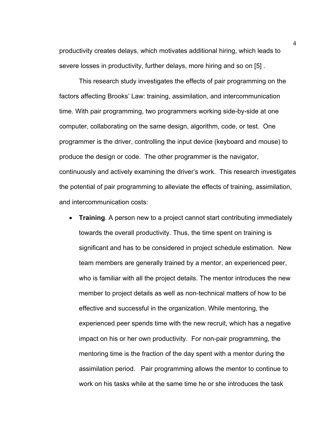productivity creates delays, which motivates additional hiring, which leads to severe losses in productivity, further delays, more hiring and so on [5] .

This research study investigates the effects of pair programming on the factors affecting Brooks' Law: training, assimilation, and intercommunication time. With pair programming, two programmers working side-by-side at one computer, collaborating on the same design, algorithm, code, or test. One programmer is the driver, controlling the input device (keyboard and mouse) to produce the design or code. The other programmer is the navigator, continuously and actively examining the driver's work. This research investigates the potential of pair programming to alleviate the effects of training, assimilation, and intercommunication costs:

• **Training**. A person new to a project cannot start contributing immediately towards the overall productivity. Thus, the time spent on training is significant and has to be considered in project schedule estimation. New team members are generally trained by a mentor, an experienced peer, who is familiar with all the project details. The mentor introduces the new member to project details as well as non-technical matters of how to be effective and successful in the organization. While mentoring, the experienced peer spends time with the new recruit, which has a negative impact on his or her own productivity. For non-pair programming, the mentoring time is the fraction of the day spent with a mentor during the assimilation period. Pair programming allows the mentor to continue to work on his tasks while at the same time he or she introduces the task

4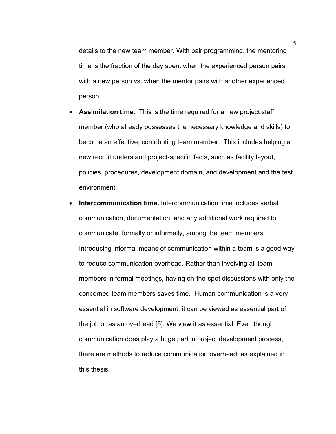details to the new team member. With pair programming, the mentoring time is the fraction of the day spent when the experienced person pairs with a new person vs. when the mentor pairs with another experienced person.

- **Assimilation time.** This is the time required for a new project staff member (who already possesses the necessary knowledge and skills) to become an effective, contributing team member. This includes helping a new recruit understand project-specific facts, such as facility layout, policies, procedures, development domain, and development and the test environment.
- **Intercommunication time.** Intercommunication time includes verbal communication, documentation, and any additional work required to communicate, formally or informally, among the team members. Introducing informal means of communication within a team is a good way to reduce communication overhead. Rather than involving all team members in formal meetings, having on-the-spot discussions with only the concerned team members saves time. Human communication is a very essential in software development; it can be viewed as essential part of the job or as an overhead [5]. We view it as essential. Even though communication does play a huge part in project development process, there are methods to reduce communication overhead, as explained in this thesis.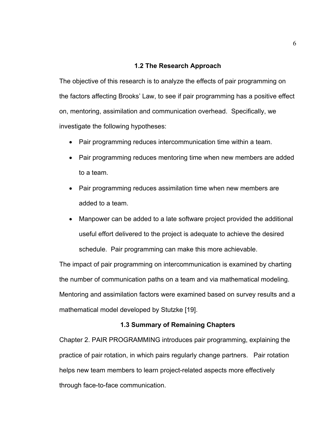## **1.2 The Research Approach**

The objective of this research is to analyze the effects of pair programming on the factors affecting Brooks' Law, to see if pair programming has a positive effect on, mentoring, assimilation and communication overhead. Specifically, we investigate the following hypotheses:

- Pair programming reduces intercommunication time within a team.
- Pair programming reduces mentoring time when new members are added to a team.
- Pair programming reduces assimilation time when new members are added to a team.
- Manpower can be added to a late software project provided the additional useful effort delivered to the project is adequate to achieve the desired schedule. Pair programming can make this more achievable.

The impact of pair programming on intercommunication is examined by charting the number of communication paths on a team and via mathematical modeling. Mentoring and assimilation factors were examined based on survey results and a mathematical model developed by Stutzke [19].

## **1.3 Summary of Remaining Chapters**

Chapter 2. PAIR PROGRAMMING introduces pair programming, explaining the practice of pair rotation, in which pairs regularly change partners. Pair rotation helps new team members to learn project-related aspects more effectively through face-to-face communication.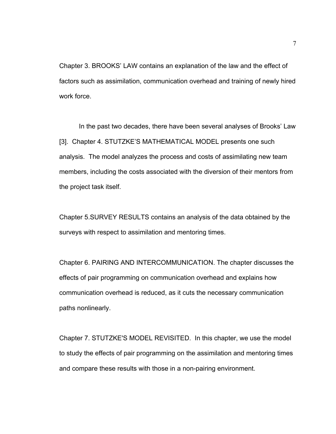Chapter 3. BROOKS' LAW contains an explanation of the law and the effect of factors such as assimilation, communication overhead and training of newly hired work force.

In the past two decades, there have been several analyses of Brooks' Law [3]. Chapter 4. STUTZKE'S MATHEMATICAL MODEL presents one such analysis. The model analyzes the process and costs of assimilating new team members, including the costs associated with the diversion of their mentors from the project task itself.

Chapter 5.SURVEY RESULTS contains an analysis of the data obtained by the surveys with respect to assimilation and mentoring times.

Chapter 6. PAIRING AND INTERCOMMUNICATION. The chapter discusses the effects of pair programming on communication overhead and explains how communication overhead is reduced, as it cuts the necessary communication paths nonlinearly.

Chapter 7. STUTZKE'S MODEL REVISITED. In this chapter, we use the model to study the effects of pair programming on the assimilation and mentoring times and compare these results with those in a non-pairing environment.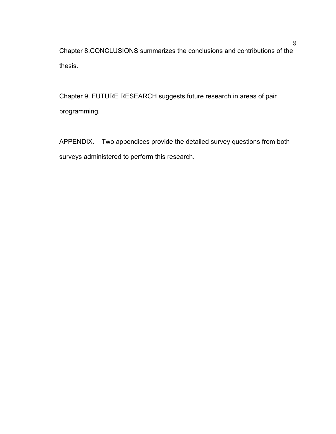Chapter 8.CONCLUSIONS summarizes the conclusions and contributions of the thesis.

Chapter 9. FUTURE RESEARCH suggests future research in areas of pair programming.

APPENDIX. Two appendices provide the detailed survey questions from both surveys administered to perform this research.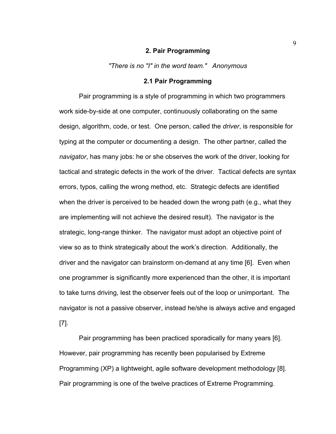#### **2. Pair Programming**

*"There is no "I" in the word team." Anonymous* 

## **2.1 Pair Programming**

Pair programming is a style of programming in which two programmers work side-by-side at one computer, continuously collaborating on the same design, algorithm, code, or test. One person, called the *driver*, is responsible for typing at the computer or documenting a design. The other partner, called the *navigator*, has many jobs: he or she observes the work of the driver, looking for tactical and strategic defects in the work of the driver. Tactical defects are syntax errors, typos, calling the wrong method, etc. Strategic defects are identified when the driver is perceived to be headed down the wrong path (e.g., what they are implementing will not achieve the desired result). The navigator is the strategic, long-range thinker. The navigator must adopt an objective point of view so as to think strategically about the work's direction. Additionally, the driver and the navigator can brainstorm on-demand at any time [6]. Even when one programmer is significantly more experienced than the other, it is important to take turns driving, lest the observer feels out of the loop or unimportant. The navigator is not a passive observer, instead he/she is always active and engaged [7].

Pair programming has been practiced sporadically for many years [6]. However, pair programming has recently been popularised by Extreme Programming (XP) a lightweight, agile software development methodology [8]. Pair programming is one of the twelve practices of Extreme Programming.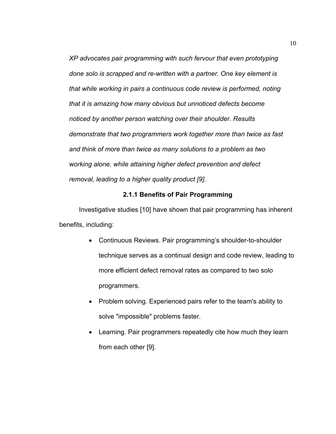*XP advocates pair programming with such fervour that even prototyping done solo is scrapped and re-written with a partner. One key element is that while working in pairs a continuous code review is performed, noting that it is amazing how many obvious but unnoticed defects become noticed by another person watching over their shoulder. Results demonstrate that two programmers work together more than twice as fast and think of more than twice as many solutions to a problem as two working alone, while attaining higher defect prevention and defect removal, leading to a higher quality product [9].* 

## **2.1.1 Benefits of Pair Programming**

Investigative studies [10] have shown that pair programming has inherent benefits, including:

- Continuous Reviews. Pair programming's shoulder-to-shoulder technique serves as a continual design and code review, leading to more efficient defect removal rates as compared to two solo programmers.
- Problem solving. Experienced pairs refer to the team's ability to solve "impossible" problems faster.
- Learning. Pair programmers repeatedly cite how much they learn from each other [9].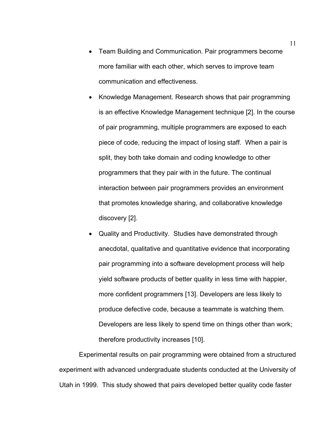- Team Building and Communication. Pair programmers become more familiar with each other, which serves to improve team communication and effectiveness.
- Knowledge Management. Research shows that pair programming is an effective Knowledge Management technique [2]. In the course of pair programming, multiple programmers are exposed to each piece of code, reducing the impact of losing staff. When a pair is split, they both take domain and coding knowledge to other programmers that they pair with in the future. The continual interaction between pair programmers provides an environment that promotes knowledge sharing, and collaborative knowledge discovery [2].
- Quality and Productivity. Studies have demonstrated through anecdotal, qualitative and quantitative evidence that incorporating pair programming into a software development process will help yield software products of better quality in less time with happier, more confident programmers [13]. Developers are less likely to produce defective code, because a teammate is watching them. Developers are less likely to spend time on things other than work; therefore productivity increases [10].

Experimental results on pair programming were obtained from a structured experiment with advanced undergraduate students conducted at the University of Utah in 1999. This study showed that pairs developed better quality code faster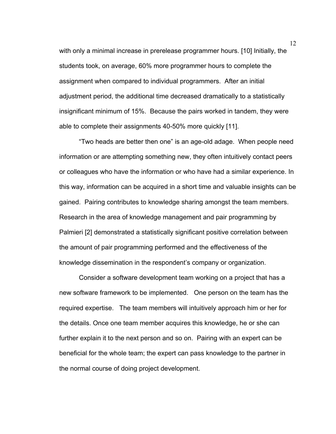with only a minimal increase in prerelease programmer hours. [10] Initially, the students took, on average, 60% more programmer hours to complete the assignment when compared to individual programmers. After an initial adjustment period, the additional time decreased dramatically to a statistically insignificant minimum of 15%. Because the pairs worked in tandem, they were able to complete their assignments 40-50% more quickly [11].

"Two heads are better then one" is an age-old adage. When people need information or are attempting something new, they often intuitively contact peers or colleagues who have the information or who have had a similar experience. In this way, information can be acquired in a short time and valuable insights can be gained. Pairing contributes to knowledge sharing amongst the team members. Research in the area of knowledge management and pair programming by Palmieri [2] demonstrated a statistically significant positive correlation between the amount of pair programming performed and the effectiveness of the knowledge dissemination in the respondent's company or organization.

Consider a software development team working on a project that has a new software framework to be implemented. One person on the team has the required expertise. The team members will intuitively approach him or her for the details. Once one team member acquires this knowledge, he or she can further explain it to the next person and so on. Pairing with an expert can be beneficial for the whole team; the expert can pass knowledge to the partner in the normal course of doing project development.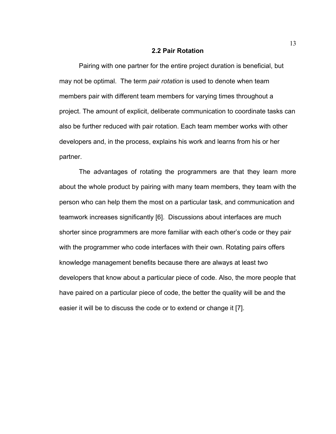#### **2.2 Pair Rotation**

Pairing with one partner for the entire project duration is beneficial, but may not be optimal. The term *pair rotation* is used to denote when team members pair with different team members for varying times throughout a project. The amount of explicit, deliberate communication to coordinate tasks can also be further reduced with pair rotation. Each team member works with other developers and, in the process, explains his work and learns from his or her partner.

The advantages of rotating the programmers are that they learn more about the whole product by pairing with many team members, they team with the person who can help them the most on a particular task, and communication and teamwork increases significantly [6]. Discussions about interfaces are much shorter since programmers are more familiar with each other's code or they pair with the programmer who code interfaces with their own. Rotating pairs offers knowledge management benefits because there are always at least two developers that know about a particular piece of code. Also, the more people that have paired on a particular piece of code, the better the quality will be and the easier it will be to discuss the code or to extend or change it [7].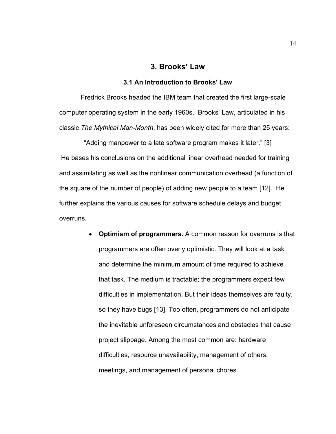# **3. Brooks' Law**

### **3.1 An Introduction to Brooks' Law**

 Fredrick Brooks headed the IBM team that created the first large-scale computer operating system in the early 1960s. Brooks' Law, articulated in his classic *The Mythical Man-Month*, has been widely cited for more than 25 years:

"Adding manpower to a late software program makes it later." [3] He bases his conclusions on the additional linear overhead needed for training and assimilating as well as the nonlinear communication overhead (a function of the square of the number of people) of adding new people to a team [12]. He further explains the various causes for software schedule delays and budget overruns.

> • **Optimism of programmers.** A common reason for overruns is that programmers are often overly optimistic. They will look at a task and determine the minimum amount of time required to achieve that task. The medium is tractable; the programmers expect few difficulties in implementation. But their ideas themselves are faulty, so they have bugs [13]. Too often, programmers do not anticipate the inevitable unforeseen circumstances and obstacles that cause project slippage. Among the most common are: hardware difficulties, resource unavailability, management of others, meetings, and management of personal chores.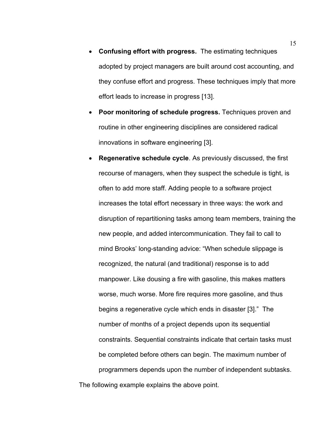- **Confusing effort with progress.** The estimating techniques adopted by project managers are built around cost accounting, and they confuse effort and progress. These techniques imply that more effort leads to increase in progress [13].
- **Poor monitoring of schedule progress.** Techniques proven and routine in other engineering disciplines are considered radical innovations in software engineering [3].
- **Regenerative schedule cycle**. As previously discussed, the first recourse of managers, when they suspect the schedule is tight, is often to add more staff. Adding people to a software project increases the total effort necessary in three ways: the work and disruption of repartitioning tasks among team members, training the new people, and added intercommunication. They fail to call to mind Brooks' long-standing advice: "When schedule slippage is recognized, the natural (and traditional) response is to add manpower. Like dousing a fire with gasoline, this makes matters worse, much worse. More fire requires more gasoline, and thus begins a regenerative cycle which ends in disaster [3]." The number of months of a project depends upon its sequential constraints. Sequential constraints indicate that certain tasks must be completed before others can begin. The maximum number of programmers depends upon the number of independent subtasks. The following example explains the above point.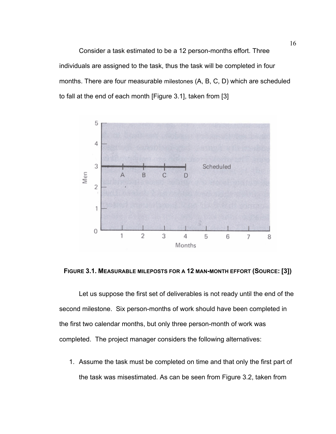Consider a task estimated to be a 12 person-months effort. Three individuals are assigned to the task, thus the task will be completed in four months. There are four measurable milestones (A, B, C, D) which are scheduled to fall at the end of each month [Figure 3.1], taken from [3]



### **FIGURE 3.1. MEASURABLE MILEPOSTS FOR A 12 MAN-MONTH EFFORT (SOURCE: [3])**

Let us suppose the first set of deliverables is not ready until the end of the second milestone. Six person-months of work should have been completed in the first two calendar months, but only three person-month of work was completed. The project manager considers the following alternatives:

1. Assume the task must be completed on time and that only the first part of the task was misestimated. As can be seen from Figure 3.2, taken from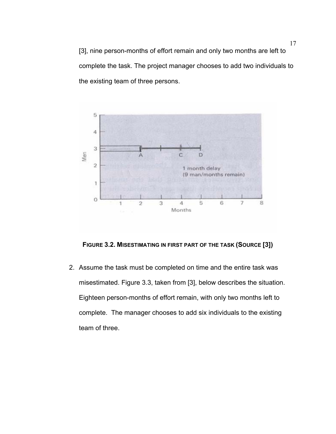17 [3], nine person-months of effort remain and only two months are left to complete the task. The project manager chooses to add two individuals to the existing team of three persons.



**FIGURE 3.2. MISESTIMATING IN FIRST PART OF THE TASK (SOURCE [3])** 

2. Assume the task must be completed on time and the entire task was misestimated. Figure 3.3, taken from [3], below describes the situation. Eighteen person-months of effort remain, with only two months left to complete. The manager chooses to add six individuals to the existing team of three.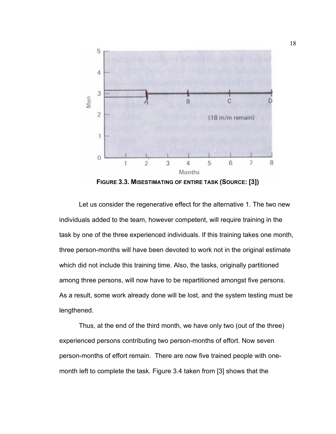

**FIGURE 3.3. MISESTIMATING OF ENTIRE TASK (SOURCE: [3])** 

Let us consider the regenerative effect for the alternative 1. The two new individuals added to the team, however competent, will require training in the task by one of the three experienced individuals. If this training takes one month, three person-months will have been devoted to work not in the original estimate which did not include this training time. Also, the tasks, originally partitioned among three persons, will now have to be repartitioned amongst five persons. As a result, some work already done will be lost, and the system testing must be lengthened.

Thus, at the end of the third month, we have only two (out of the three) experienced persons contributing two person-months of effort. Now seven person-months of effort remain. There are now five trained people with onemonth left to complete the task. Figure 3.4 taken from [3] shows that the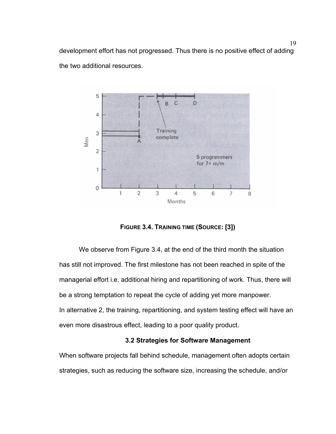19 development effort has not progressed. Thus there is no positive effect of adding the two additional resources.



**FIGURE 3.4. TRAINING TIME (SOURCE: [3])** 

We observe from Figure 3.4, at the end of the third month the situation has still not improved. The first milestone has not been reached in spite of the managerial effort i.e. additional hiring and repartitioning of work. Thus, there will be a strong temptation to repeat the cycle of adding yet more manpower. In alternative 2, the training, repartitioning, and system testing effect will have an even more disastrous effect, leading to a poor quality product.

# **3.2 Strategies for Software Management**

When software projects fall behind schedule, management often adopts certain strategies, such as reducing the software size, increasing the schedule, and/or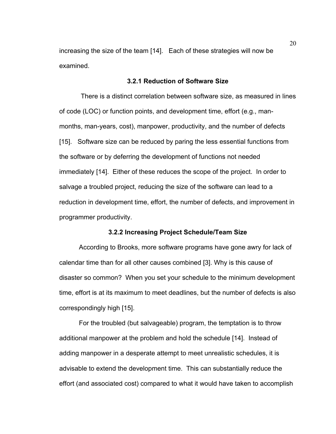increasing the size of the team [14]. Each of these strategies will now be examined.

### **3.2.1 Reduction of Software Size**

There is a distinct correlation between software size, as measured in lines of code (LOC) or function points, and development time, effort (e.g., manmonths, man-years, cost), manpower, productivity, and the number of defects [15]. Software size can be reduced by paring the less essential functions from the software or by deferring the development of functions not needed immediately [14]. Either of these reduces the scope of the project. In order to salvage a troubled project, reducing the size of the software can lead to a reduction in development time, effort, the number of defects, and improvement in programmer productivity.

## **3.2.2 Increasing Project Schedule/Team Size**

According to Brooks, more software programs have gone awry for lack of calendar time than for all other causes combined [3]. Why is this cause of disaster so common? When you set your schedule to the minimum development time, effort is at its maximum to meet deadlines, but the number of defects is also correspondingly high [15].

For the troubled (but salvageable) program, the temptation is to throw additional manpower at the problem and hold the schedule [14]. Instead of adding manpower in a desperate attempt to meet unrealistic schedules, it is advisable to extend the development time. This can substantially reduce the effort (and associated cost) compared to what it would have taken to accomplish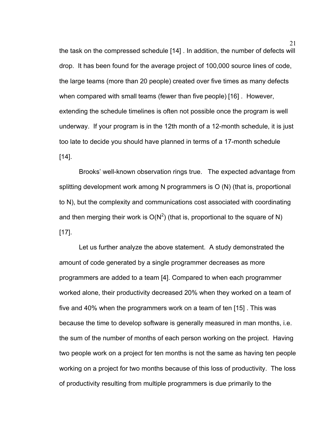21 the task on the compressed schedule [14] . In addition, the number of defects will drop. It has been found for the average project of 100,000 source lines of code, the large teams (more than 20 people) created over five times as many defects when compared with small teams (fewer than five people) [16] . However, extending the schedule timelines is often not possible once the program is well underway. If your program is in the 12th month of a 12-month schedule, it is just too late to decide you should have planned in terms of a 17-month schedule  $[14]$ .

Brooks' well-known observation rings true. The expected advantage from splitting development work among N programmers is O (N) (that is, proportional to N), but the complexity and communications cost associated with coordinating and then merging their work is  $O(N^2)$  (that is, proportional to the square of N) [17].

Let us further analyze the above statement. A study demonstrated the amount of code generated by a single programmer decreases as more programmers are added to a team [4]. Compared to when each programmer worked alone, their productivity decreased 20% when they worked on a team of five and 40% when the programmers work on a team of ten [15] . This was because the time to develop software is generally measured in man months, i.e. the sum of the number of months of each person working on the project. Having two people work on a project for ten months is not the same as having ten people working on a project for two months because of this loss of productivity. The loss of productivity resulting from multiple programmers is due primarily to the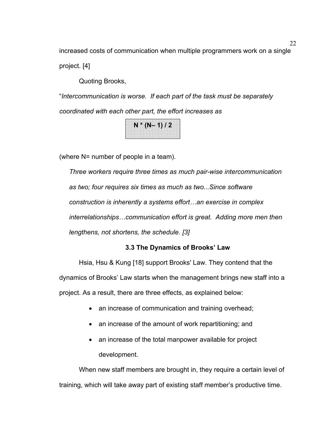increased costs of communication when multiple programmers work on a single project. [4]

Quoting Brooks,

"*Intercommunication is worse. If each part of the task must be separately coordinated with each other part, the effort increases as*

**N \* (N– 1) / 2** 

(where N= number of people in a team).

*Three workers require three times as much pair-wise intercommunication as two; four requires six times as much as two...Since software construction is inherently a systems effort…an exercise in complex interrelationships…communication effort is great. Adding more men then lengthens, not shortens, the schedule. [3]* 

# **3.3 The Dynamics of Brooks' Law**

Hsia, Hsu & Kung [18] support Brooks' Law. They contend that the dynamics of Brooks' Law starts when the management brings new staff into a project. As a result, there are three effects, as explained below:

- an increase of communication and training overhead;
- an increase of the amount of work repartitioning; and
- an increase of the total manpower available for project development.

When new staff members are brought in, they require a certain level of training, which will take away part of existing staff member's productive time.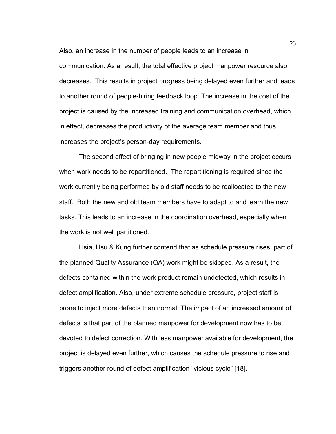Also, an increase in the number of people leads to an increase in communication. As a result, the total effective project manpower resource also decreases. This results in project progress being delayed even further and leads to another round of people-hiring feedback loop. The increase in the cost of the project is caused by the increased training and communication overhead, which, in effect, decreases the productivity of the average team member and thus increases the project's person-day requirements.

The second effect of bringing in new people midway in the project occurs when work needs to be repartitioned. The repartitioning is required since the work currently being performed by old staff needs to be reallocated to the new staff. Both the new and old team members have to adapt to and learn the new tasks. This leads to an increase in the coordination overhead, especially when the work is not well partitioned.

Hsia, Hsu & Kung further contend that as schedule pressure rises, part of the planned Quality Assurance (QA) work might be skipped. As a result, the defects contained within the work product remain undetected, which results in defect amplification. Also, under extreme schedule pressure, project staff is prone to inject more defects than normal. The impact of an increased amount of defects is that part of the planned manpower for development now has to be devoted to defect correction. With less manpower available for development, the project is delayed even further, which causes the schedule pressure to rise and triggers another round of defect amplification "vicious cycle" [18].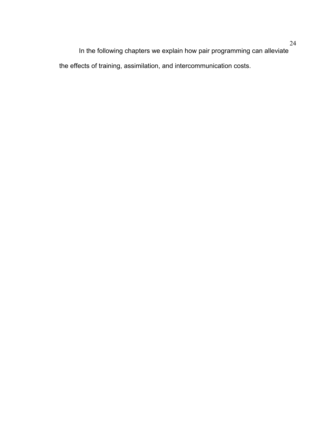24 In the following chapters we explain how pair programming can alleviate the effects of training, assimilation, and intercommunication costs.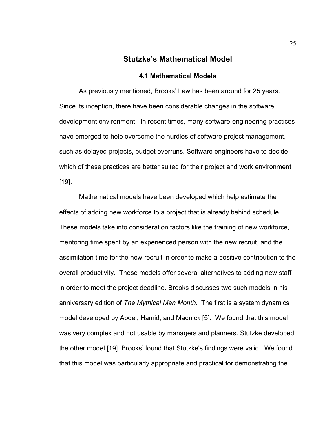## **Stutzke's Mathematical Model**

#### **4.1 Mathematical Models**

As previously mentioned, Brooks' Law has been around for 25 years. Since its inception, there have been considerable changes in the software development environment. In recent times, many software-engineering practices have emerged to help overcome the hurdles of software project management, such as delayed projects, budget overruns. Software engineers have to decide which of these practices are better suited for their project and work environment [19].

Mathematical models have been developed which help estimate the effects of adding new workforce to a project that is already behind schedule. These models take into consideration factors like the training of new workforce, mentoring time spent by an experienced person with the new recruit, and the assimilation time for the new recruit in order to make a positive contribution to the overall productivity. These models offer several alternatives to adding new staff in order to meet the project deadline. Brooks discusses two such models in his anniversary edition of *The Mythical Man Month*. The first is a system dynamics model developed by Abdel, Hamid, and Madnick [5]. We found that this model was very complex and not usable by managers and planners. Stutzke developed the other model [19]. Brooks' found that Stutzke's findings were valid. We found that this model was particularly appropriate and practical for demonstrating the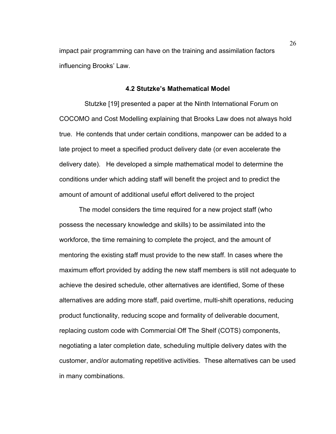impact pair programming can have on the training and assimilation factors influencing Brooks' Law.

#### **4.2 Stutzke's Mathematical Model**

 Stutzke [19] presented a paper at the Ninth International Forum on COCOMO and Cost Modelling explaining that Brooks Law does not always hold true. He contends that under certain conditions, manpower can be added to a late project to meet a specified product delivery date (or even accelerate the delivery date). He developed a simple mathematical model to determine the conditions under which adding staff will benefit the project and to predict the amount of amount of additional useful effort delivered to the project

The model considers the time required for a new project staff (who possess the necessary knowledge and skills) to be assimilated into the workforce, the time remaining to complete the project, and the amount of mentoring the existing staff must provide to the new staff. In cases where the maximum effort provided by adding the new staff members is still not adequate to achieve the desired schedule, other alternatives are identified, Some of these alternatives are adding more staff, paid overtime, multi-shift operations, reducing product functionality, reducing scope and formality of deliverable document, replacing custom code with Commercial Off The Shelf (COTS) components, negotiating a later completion date, scheduling multiple delivery dates with the customer, and/or automating repetitive activities. These alternatives can be used in many combinations.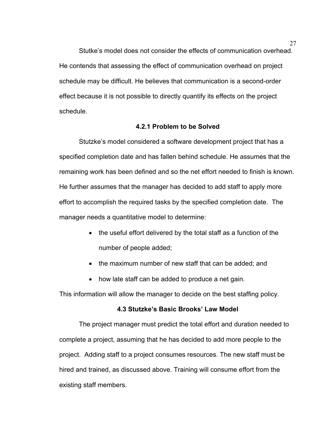Stutke's model does not consider the effects of communication overhead. He contends that assessing the effect of communication overhead on project schedule may be difficult. He believes that communication is a second-order effect because it is not possible to directly quantify its effects on the project schedule.

## **4.2.1 Problem to be Solved**

Stutzke's model considered a software development project that has a specified completion date and has fallen behind schedule. He assumes that the remaining work has been defined and so the net effort needed to finish is known. He further assumes that the manager has decided to add staff to apply more effort to accomplish the required tasks by the specified completion date. The manager needs a quantitative model to determine:

- the useful effort delivered by the total staff as a function of the number of people added;
- the maximum number of new staff that can be added; and
- how late staff can be added to produce a net gain.

This information will allow the manager to decide on the best staffing policy.

#### **4.3 Stutzke's Basic Brooks' Law Model**

The project manager must predict the total effort and duration needed to complete a project, assuming that he has decided to add more people to the project. Adding staff to a project consumes resources. The new staff must be hired and trained, as discussed above. Training will consume effort from the existing staff members.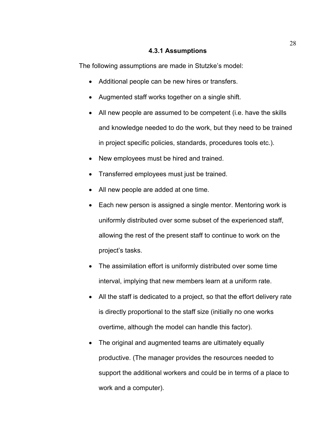# **4.3.1 Assumptions**

The following assumptions are made in Stutzke's model:

- Additional people can be new hires or transfers.
- Augmented staff works together on a single shift.
- All new people are assumed to be competent (i.e. have the skills and knowledge needed to do the work, but they need to be trained in project specific policies, standards, procedures tools etc.).
- New employees must be hired and trained.
- Transferred employees must just be trained.
- All new people are added at one time.
- Each new person is assigned a single mentor. Mentoring work is uniformly distributed over some subset of the experienced staff, allowing the rest of the present staff to continue to work on the project's tasks.
- The assimilation effort is uniformly distributed over some time interval, implying that new members learn at a uniform rate.
- All the staff is dedicated to a project, so that the effort delivery rate is directly proportional to the staff size (initially no one works overtime, although the model can handle this factor).
- The original and augmented teams are ultimately equally productive. (The manager provides the resources needed to support the additional workers and could be in terms of a place to work and a computer).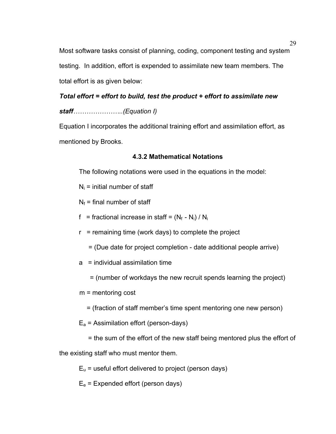29 Most software tasks consist of planning, coding, component testing and system testing. In addition, effort is expended to assimilate new team members. The total effort is as given below:

# *Total effort = effort to build, test the product + effort to assimilate new*

*staff…………………..(Equation I)* 

Equation I incorporates the additional training effort and assimilation effort, as mentioned by Brooks.

# **4.3.2 Mathematical Notations**

The following notations were used in the equations in the model:

- $N_i$  = initial number of staff
- $N_f$  = final number of staff
- f = fractional increase in staff =  $(N_f N_i) / N_i$
- $r =$  remaining time (work days) to complete the project
	- = (Due date for project completion date additional people arrive)
- a = individual assimilation time
	- = (number of workdays the new recruit spends learning the project)

m = mentoring cost

= (fraction of staff member's time spent mentoring one new person)

 $E_a$  = Assimilation effort (person-days)

= the sum of the effort of the new staff being mentored plus the effort of

the existing staff who must mentor them.

 $E_u$  = useful effort delivered to project (person days)

 $E_e$  = Expended effort (person days)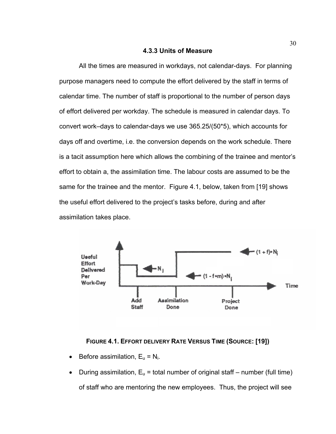#### **4.3.3 Units of Measure**

All the times are measured in workdays, not calendar-days. For planning purpose managers need to compute the effort delivered by the staff in terms of calendar time. The number of staff is proportional to the number of person days of effort delivered per workday. The schedule is measured in calendar days. To convert work–days to calendar-days we use 365.25/(50\*5), which accounts for days off and overtime, i.e. the conversion depends on the work schedule. There is a tacit assumption here which allows the combining of the trainee and mentor's effort to obtain a, the assimilation time. The labour costs are assumed to be the same for the trainee and the mentor. Figure 4.1, below, taken from [19] shows the useful effort delivered to the project's tasks before, during and after assimilation takes place.



## **FIGURE 4.1. EFFORT DELIVERY RATE VERSUS TIME (SOURCE: [19])**

- Before assimilation,  $E_u = N_i$ .
- During assimilation,  $E_u$  = total number of original staff number (full time) of staff who are mentoring the new employees. Thus, the project will see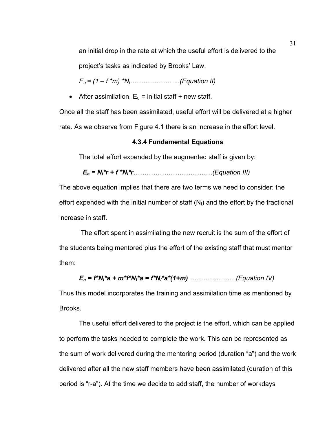an initial drop in the rate at which the useful effort is delivered to the

project's tasks as indicated by Brooks' Law.

*Eu = (1 – f \*m) \*Ni…………………..(Equation II)* 

• After assimilation,  $E_u$  = initial staff + new staff.

Once all the staff has been assimilated, useful effort will be delivered at a higher rate. As we observe from Figure 4.1 there is an increase in the effort level.

## **4.3.4 Fundamental Equations**

The total effort expended by the augmented staff is given by:

$$
E_e = N_i^*r + f^*N_i^*r
$$
.................(Equation III)

The above equation implies that there are two terms we need to consider: the effort expended with the initial number of staff  $(N<sub>1</sub>)$  and the effort by the fractional increase in staff.

 The effort spent in assimilating the new recruit is the sum of the effort of the students being mentored plus the effort of the existing staff that must mentor them:

*Ea = f\*Ni\*a + m\*f\*Ni\*a = f\*Ni\*a\*(1+m) …………………(Equation IV)* 

Thus this model incorporates the training and assimilation time as mentioned by Brooks.

The useful effort delivered to the project is the effort, which can be applied to perform the tasks needed to complete the work. This can be represented as the sum of work delivered during the mentoring period (duration "a") and the work delivered after all the new staff members have been assimilated (duration of this period is "r-a"). At the time we decide to add staff, the number of workdays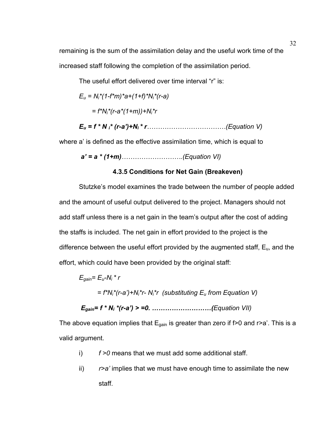remaining is the sum of the assimilation delay and the useful work time of the increased staff following the completion of the assimilation period.

The useful effort delivered over time interval "r" is:

$$
E_u = N_i^*(1-f^*m)*a + (1+f)*N_i^*(r-a)
$$
  
=  $f^*N_i^*(r-a*(1+m)) + N_i^*r$ 

*Eu = f \* N i\* (r-a')+Ni \* r………………………………(Equation V)* 

where a' is defined as the effective assimilation time, which is equal to

*a' = a \* (1+m)……………………….(Equation VI)*

# **4.3.5 Conditions for Net Gain (Breakeven)**

Stutzke's model examines the trade between the number of people added and the amount of useful output delivered to the project. Managers should not add staff unless there is a net gain in the team's output after the cost of adding the staffs is included. The net gain in effort provided to the project is the difference between the useful effort provided by the augmented staff,  $E_{u}$ , and the effort, which could have been provided by the original staff:

$$
E_{gain} = E_u - N_i * r
$$
  
=  $f^*N_i * (r-a') + N_i * r$  (substituting  $E_u$  from Equation V)  

$$
E_{gain} = f * N_i * (r-a') > = 0.
$$
.................(Equation VII)

The above equation implies that  $E_{gain}$  is greater than zero if f>0 and r>a'. This is a valid argument.

- i) *f >0* means that we must add some additional staff.
- ii) *r>a'* implies that we must have enough time to assimilate the new staff.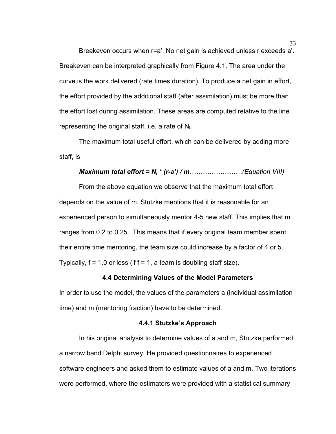33 Breakeven occurs when r=a'. No net gain is achieved unless r exceeds a'. Breakeven can be interpreted graphically from Figure 4.1. The area under the curve is the work delivered (rate times duration). To produce a net gain in effort, the effort provided by the additional staff (after assimilation) must be more than the effort lost during assimilation. These areas are computed relative to the line representing the original staff, i.e. a rate of  $N_i$ .

The maximum total useful effort, which can be delivered by adding more staff, is

## *Maximum total effort = Ni \* (r-a') / m……………………(Equation VIII)*

From the above equation we observe that the maximum total effort depends on the value of m. Stutzke mentions that it is reasonable for an experienced person to simultaneously mentor 4-5 new staff. This implies that m ranges from 0.2 to 0.25. This means that if every original team member spent their entire time mentoring, the team size could increase by a factor of 4 or 5. Typically,  $f = 1.0$  or less (if  $f = 1$ , a team is doubling staff size).

#### **4.4 Determining Values of the Model Parameters**

In order to use the model, the values of the parameters a (individual assimilation time) and m (mentoring fraction) have to be determined.

#### **4.4.1 Stutzke's Approach**

In his original analysis to determine values of a and m, Stutzke performed a narrow band Delphi survey. He provided questionnaires to experienced software engineers and asked them to estimate values of a and m. Two iterations were performed, where the estimators were provided with a statistical summary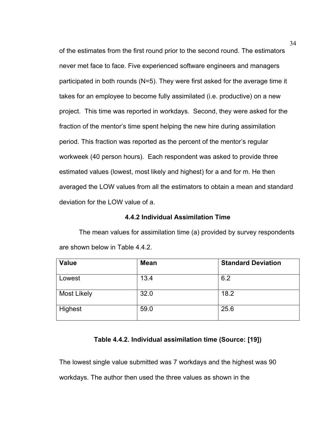of the estimates from the first round prior to the second round. The estimators never met face to face. Five experienced software engineers and managers participated in both rounds (N=5). They were first asked for the average time it takes for an employee to become fully assimilated (i.e. productive) on a new project. This time was reported in workdays. Second, they were asked for the fraction of the mentor's time spent helping the new hire during assimilation period. This fraction was reported as the percent of the mentor's regular workweek (40 person hours). Each respondent was asked to provide three estimated values (lowest, most likely and highest) for a and for m. He then averaged the LOW values from all the estimators to obtain a mean and standard deviation for the LOW value of a.

#### **4.4.2 Individual Assimilation Time**

The mean values for assimilation time (a) provided by survey respondents are shown below in Table 4.4.2.

| <b>Value</b>       | <b>Mean</b> | <b>Standard Deviation</b> |
|--------------------|-------------|---------------------------|
| Lowest             | 13.4        | 6.2                       |
| <b>Most Likely</b> | 32.0        | 18.2                      |
| Highest            | 59.0        | 25.6                      |

#### **Table 4.4.2. Individual assimilation time (Source: [19])**

The lowest single value submitted was 7 workdays and the highest was 90 workdays. The author then used the three values as shown in the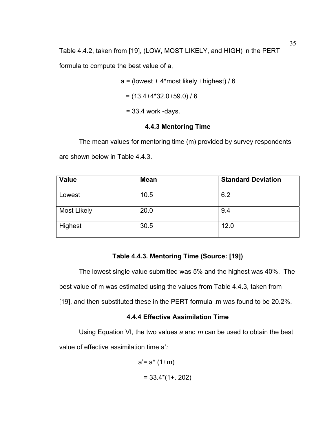Table 4.4.2, taken from [19], (LOW, MOST LIKELY, and HIGH) in the PERT

formula to compute the best value of a,

 $a =$  (lowest + 4\*most likely +highest) / 6

$$
= (13.4 + 4*32.0 + 59.0) / 6
$$

 $= 33.4$  work -days.

# **4.4.3 Mentoring Time**

The mean values for mentoring time (m) provided by survey respondents

are shown below in Table 4.4.3.

| <b>Value</b>       | <b>Mean</b> | <b>Standard Deviation</b> |
|--------------------|-------------|---------------------------|
| Lowest             | 10.5        | 6.2                       |
| <b>Most Likely</b> | 20.0        | 9.4                       |
| Highest            | 30.5        | 12.0                      |

# **Table 4.4.3. Mentoring Time (Source: [19])**

The lowest single value submitted was 5% and the highest was 40%. The best value of m was estimated using the values from Table 4.4.3, taken from [19], and then substituted these in the PERT formula .m was found to be 20.2%.

# **4.4.4 Effective Assimilation Time**

Using Equation VI, the two values *a* and *m* can be used to obtain the best value of effective assimilation time a'*:* 

$$
a' = a^* (1+m)
$$
  
= 33.4\*(1+. 202)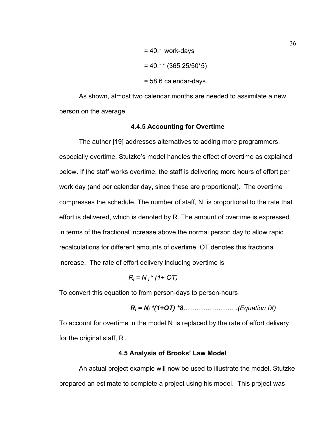$$
= 40.1 \text{ work-days}
$$
  
= 40.1\*(365.25/50\*5)  
= 58.6 calendar-days.

As shown, almost two calendar months are needed to assimilate a new person on the average.

## **4.4.5 Accounting for Overtime**

The author [19] addresses alternatives to adding more programmers, especially overtime. Stutzke's model handles the effect of overtime as explained below. If the staff works overtime, the staff is delivering more hours of effort per work day (and per calendar day, since these are proportional). The overtime compresses the schedule. The number of staff, N, is proportional to the rate that effort is delivered, which is denoted by R. The amount of overtime is expressed in terms of the fractional increase above the normal person day to allow rapid recalculations for different amounts of overtime. OT denotes this fractional increase. The rate of effort delivery including overtime is

 $R_i = N_i * (1 + OT)$ 

To convert this equation to from person-days to person-hours

$$
R_i = N_i * (1+OT) * 8
$$
.................(Equation IX)

To account for overtime in the model  $N_i$  is replaced by the rate of effort delivery for the original staff,  $R_i$ .

#### **4.5 Analysis of Brooks' Law Model**

An actual project example will now be used to illustrate the model. Stutzke prepared an estimate to complete a project using his model. This project was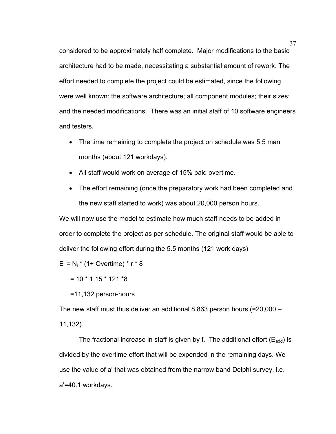37 considered to be approximately half complete. Major modifications to the basic architecture had to be made, necessitating a substantial amount of rework. The effort needed to complete the project could be estimated, since the following were well known: the software architecture; all component modules; their sizes; and the needed modifications. There was an initial staff of 10 software engineers and testers.

- The time remaining to complete the project on schedule was 5.5 man months (about 121 workdays).
- All staff would work on average of 15% paid overtime.
- The effort remaining (once the preparatory work had been completed and the new staff started to work) was about 20,000 person hours.

We will now use the model to estimate how much staff needs to be added in order to complete the project as per schedule. The original staff would be able to deliver the following effort during the 5.5 months (121 work days)

 $E_i = N_i * (1 + \text{Overtime}) * r * 8$ 

 $= 10 * 1.15 * 121 * 8$ 

=11,132 person-hours

The new staff must thus deliver an additional 8,863 person hours  $(=20,000 -$ 11,132).

The fractional increase in staff is given by f. The additional effort  $(E_{\text{add}})$  is divided by the overtime effort that will be expended in the remaining days. We use the value of a' that was obtained from the narrow band Delphi survey, i.e. a'=40.1 workdays.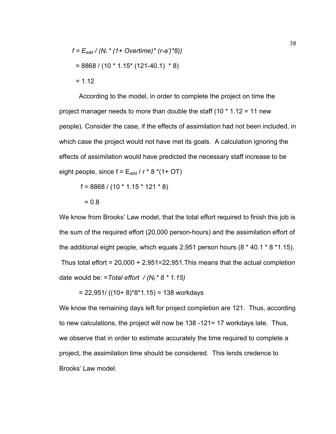$$
f = E_{add} / (N_i * (1 + Overtime) * (r-a) * 8)
$$
  
= 8868 / (10 \* 1.15 \* (121-40.1) \* 8)  
= 1.12

According to the model, in order to complete the project on time the project manager needs to more than double the staff  $(10 * 1.12 = 11$  new people). Consider the case, if the effects of assimilation had not been included, in which case the project would not have met its goals. A calculation ignoring the effects of assimilation would have predicted the necessary staff increase to be eight people, since  $f = E_{add} / r * 8 * (1 + OT)$ 

f =  $8868 / (10 * 1.15 * 121 * 8)$ 

$$
= 0.8
$$

We know from Brooks' Law model, that the total effort required to finish this job is the sum of the required effort (20,000 person-hours) and the assimilation effort of the additional eight people, which equals 2,951 person hours (8 \* 40.1 \* 8 \*1.15). Thus total effort = 20,000 + 2,951=22,951.This means that the actual completion date would be: =*Total effort / (Nf \* 8 \* 1.15)* 

 $= 22,951/$  ((10+ 8)\*8\*1.15) = 138 workdays

We know the remaining days left for project completion are 121. Thus, according to new calculations, the project will now be 138 -121= 17 workdays late. Thus, we observe that in order to estimate accurately the time required to complete a project, the assimilation time should be considered. This lends credence to Brooks' Law model.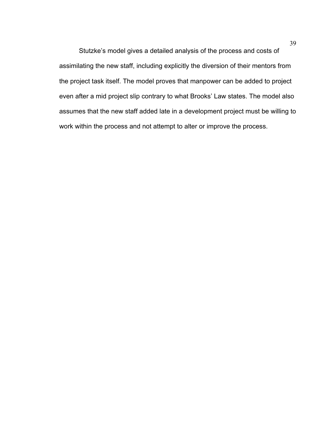Stutzke's model gives a detailed analysis of the process and costs of assimilating the new staff, including explicitly the diversion of their mentors from the project task itself. The model proves that manpower can be added to project even after a mid project slip contrary to what Brooks' Law states. The model also assumes that the new staff added late in a development project must be willing to work within the process and not attempt to alter or improve the process.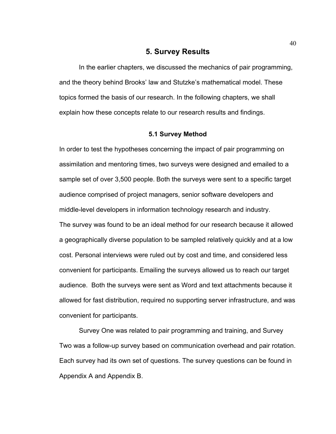# **5. Survey Results**

In the earlier chapters, we discussed the mechanics of pair programming, and the theory behind Brooks' law and Stutzke's mathematical model. These topics formed the basis of our research. In the following chapters, we shall explain how these concepts relate to our research results and findings.

#### **5.1 Survey Method**

In order to test the hypotheses concerning the impact of pair programming on assimilation and mentoring times, two surveys were designed and emailed to a sample set of over 3,500 people. Both the surveys were sent to a specific target audience comprised of project managers, senior software developers and middle-level developers in information technology research and industry. The survey was found to be an ideal method for our research because it allowed a geographically diverse population to be sampled relatively quickly and at a low cost. Personal interviews were ruled out by cost and time, and considered less convenient for participants. Emailing the surveys allowed us to reach our target audience. Both the surveys were sent as Word and text attachments because it allowed for fast distribution, required no supporting server infrastructure, and was convenient for participants.

Survey One was related to pair programming and training, and Survey Two was a follow-up survey based on communication overhead and pair rotation. Each survey had its own set of questions. The survey questions can be found in Appendix A and Appendix B.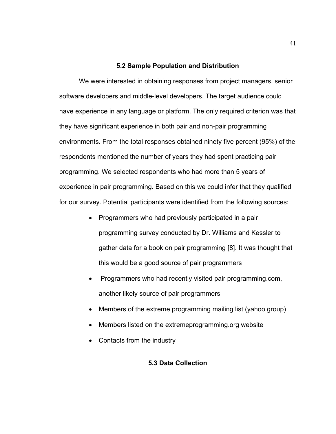#### **5.2 Sample Population and Distribution**

We were interested in obtaining responses from project managers, senior software developers and middle-level developers. The target audience could have experience in any language or platform. The only required criterion was that they have significant experience in both pair and non-pair programming environments. From the total responses obtained ninety five percent (95%) of the respondents mentioned the number of years they had spent practicing pair programming. We selected respondents who had more than 5 years of experience in pair programming. Based on this we could infer that they qualified for our survey. Potential participants were identified from the following sources:

- Programmers who had previously participated in a pair programming survey conducted by Dr. Williams and Kessler to gather data for a book on pair programming [8]. It was thought that this would be a good source of pair programmers
- Programmers who had recently visited pair programming.com, another likely source of pair programmers
- Members of the extreme programming mailing list (yahoo group)
- Members listed on the extremeprogramming.org website
- Contacts from the industry

# **5.3 Data Collection**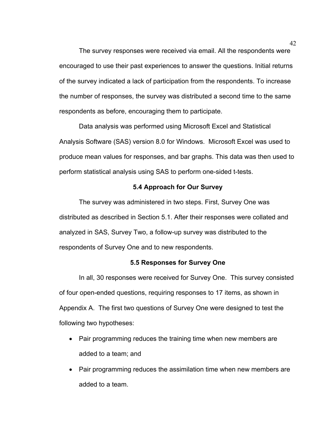The survey responses were received via email. All the respondents were encouraged to use their past experiences to answer the questions. Initial returns of the survey indicated a lack of participation from the respondents. To increase the number of responses, the survey was distributed a second time to the same respondents as before, encouraging them to participate.

Data analysis was performed using Microsoft Excel and Statistical Analysis Software (SAS) version 8.0 for Windows. Microsoft Excel was used to produce mean values for responses, and bar graphs. This data was then used to perform statistical analysis using SAS to perform one-sided t-tests.

#### **5.4 Approach for Our Survey**

The survey was administered in two steps. First, Survey One was distributed as described in Section 5.1. After their responses were collated and analyzed in SAS, Survey Two, a follow-up survey was distributed to the respondents of Survey One and to new respondents.

#### **5.5 Responses for Survey One**

In all, 30 responses were received for Survey One. This survey consisted of four open-ended questions, requiring responses to 17 items, as shown in Appendix A. The first two questions of Survey One were designed to test the following two hypotheses:

- Pair programming reduces the training time when new members are added to a team; and
- Pair programming reduces the assimilation time when new members are added to a team.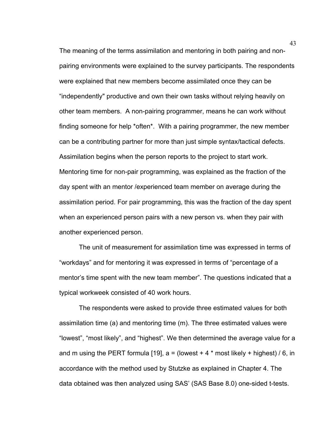The meaning of the terms assimilation and mentoring in both pairing and nonpairing environments were explained to the survey participants. The respondents were explained that new members become assimilated once they can be "independently" productive and own their own tasks without relying heavily on other team members. A non-pairing programmer, means he can work without finding someone for help \*often\*. With a pairing programmer, the new member can be a contributing partner for more than just simple syntax/tactical defects. Assimilation begins when the person reports to the project to start work. Mentoring time for non-pair programming, was explained as the fraction of the day spent with an mentor /experienced team member on average during the assimilation period. For pair programming, this was the fraction of the day spent when an experienced person pairs with a new person vs. when they pair with another experienced person.

The unit of measurement for assimilation time was expressed in terms of "workdays" and for mentoring it was expressed in terms of "percentage of a mentor's time spent with the new team member". The questions indicated that a typical workweek consisted of 40 work hours.

The respondents were asked to provide three estimated values for both assimilation time (a) and mentoring time (m). The three estimated values were "lowest", "most likely", and "highest". We then determined the average value for a and m using the PERT formula [19],  $a =$  (lowest  $+ 4$  \* most likely  $+$  highest) / 6, in accordance with the method used by Stutzke as explained in Chapter 4. The data obtained was then analyzed using SAS' (SAS Base 8.0) one-sided t-tests.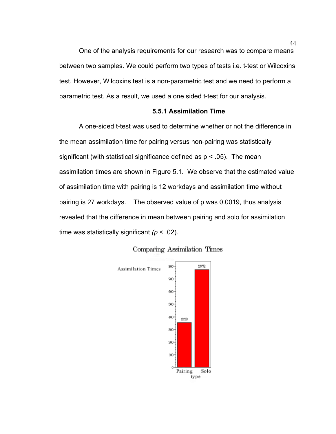One of the analysis requirements for our research was to compare means between two samples. We could perform two types of tests i.e. t-test or Wilcoxins test. However, Wilcoxins test is a non-parametric test and we need to perform a parametric test. As a result, we used a one sided t-test for our analysis.

#### **5.5.1 Assimilation Time**

A one-sided t-test was used to determine whether or not the difference in the mean assimilation time for pairing versus non-pairing was statistically significant (with statistical significance defined as  $p < .05$ ). The mean assimilation times are shown in Figure 5.1. We observe that the estimated value of assimilation time with pairing is 12 workdays and assimilation time without pairing is 27 workdays. The observed value of p was 0.0019, thus analysis revealed that the difference in mean between pairing and solo for assimilation time was statistically significant *(p* < .02).



## Comparing Assimilation Times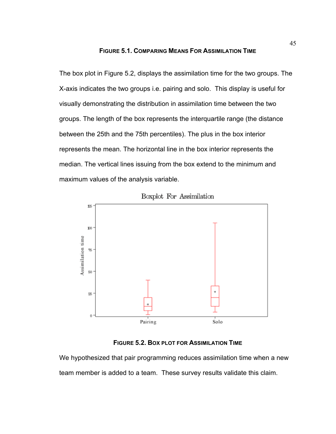#### **FIGURE 5.1. COMPARING MEANS FOR ASSIMILATION TIME**

The box plot in Figure 5.2, displays the assimilation time for the two groups. The X-axis indicates the two groups i.e. pairing and solo. This display is useful for visually demonstrating the distribution in assimilation time between the two groups. The length of the box represents the interquartile range (the distance between the 25th and the 75th percentiles). The plus in the box interior represents the mean. The horizontal line in the box interior represents the median. The vertical lines issuing from the box extend to the minimum and maximum values of the analysis variable.



Boxplot For Assimilation

# **FIGURE 5.2. BOX PLOT FOR ASSIMILATION TIME**

We hypothesized that pair programming reduces assimilation time when a new team member is added to a team. These survey results validate this claim.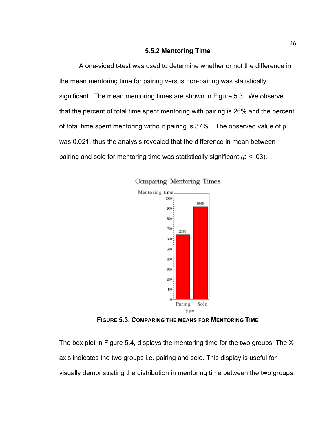#### **5.5.2 Mentoring Time**

A one-sided t-test was used to determine whether or not the difference in the mean mentoring time for pairing versus non-pairing was statistically significant. The mean mentoring times are shown in Figure 5.3. We observe that the percent of total time spent mentoring with pairing is 26% and the percent of total time spent mentoring without pairing is 37%. The observed value of p was 0.021, thus the analysis revealed that the difference in mean between pairing and solo for mentoring time was statistically significant *(p* < .03).





**FIGURE 5.3. COMPARING THE MEANS FOR MENTORING TIME**

The box plot in Figure 5.4, displays the mentoring time for the two groups. The Xaxis indicates the two groups i.e. pairing and solo. This display is useful for visually demonstrating the distribution in mentoring time between the two groups.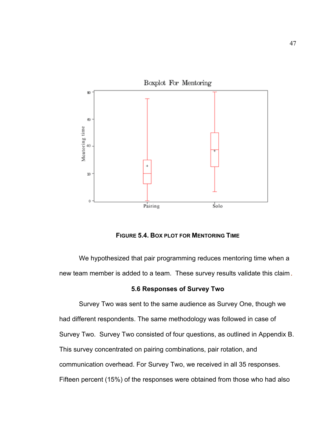

**FIGURE 5.4. BOX PLOT FOR MENTORING TIME**

We hypothesized that pair programming reduces mentoring time when a new team member is added to a team. These survey results validate this claim**.** 

#### **5.6 Responses of Survey Two**

Survey Two was sent to the same audience as Survey One, though we had different respondents. The same methodology was followed in case of Survey Two. Survey Two consisted of four questions, as outlined in Appendix B. This survey concentrated on pairing combinations, pair rotation, and communication overhead. For Survey Two, we received in all 35 responses. Fifteen percent (15%) of the responses were obtained from those who had also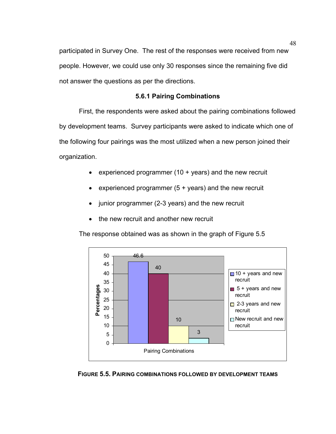participated in Survey One. The rest of the responses were received from new people. However, we could use only 30 responses since the remaining five did not answer the questions as per the directions.

# **5.6.1 Pairing Combinations**

First, the respondents were asked about the pairing combinations followed by development teams. Survey participants were asked to indicate which one of the following four pairings was the most utilized when a new person joined their organization.

- experienced programmer (10 + years) and the new recruit
- experienced programmer  $(5 + \text{years})$  and the new recruit
- junior programmer (2-3 years) and the new recruit
- the new recruit and another new recruit

The response obtained was as shown in the graph of Figure 5.5



**FIGURE 5.5. PAIRING COMBINATIONS FOLLOWED BY DEVELOPMENT TEAMS**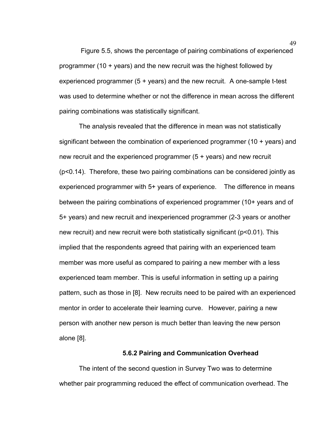Figure 5.5, shows the percentage of pairing combinations of experienced programmer (10 + years) and the new recruit was the highest followed by experienced programmer (5 + years) and the new recruit. A one-sample t-test was used to determine whether or not the difference in mean across the different pairing combinations was statistically significant.

The analysis revealed that the difference in mean was not statistically significant between the combination of experienced programmer (10 + years) and new recruit and the experienced programmer (5 + years) and new recruit (p<0.14). Therefore, these two pairing combinations can be considered jointly as experienced programmer with 5+ years of experience. The difference in means between the pairing combinations of experienced programmer (10+ years and of 5+ years) and new recruit and inexperienced programmer (2-3 years or another new recruit) and new recruit were both statistically significant (p<0.01). This implied that the respondents agreed that pairing with an experienced team member was more useful as compared to pairing a new member with a less experienced team member. This is useful information in setting up a pairing pattern, such as those in [8]. New recruits need to be paired with an experienced mentor in order to accelerate their learning curve. However, pairing a new person with another new person is much better than leaving the new person alone [8].

#### **5.6.2 Pairing and Communication Overhead**

The intent of the second question in Survey Two was to determine whether pair programming reduced the effect of communication overhead. The

49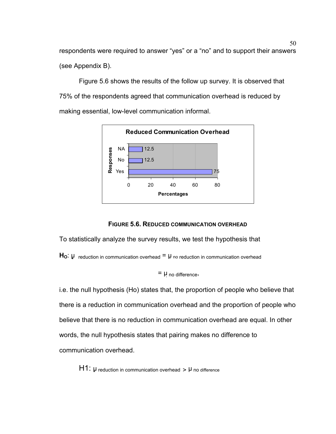50 respondents were required to answer "yes" or a "no" and to support their answers (see Appendix B).

Figure 5.6 shows the results of the follow up survey. It is observed that 75% of the respondents agreed that communication overhead is reduced by making essential, low-level communication informal.



**FIGURE 5.6. REDUCED COMMUNICATION OVERHEAD**

To statistically analyze the survey results, we test the hypothesis that

 $H_0$ :  $\mu$  reduction in communication overhead  $= \mu$  no reduction in communication overhead

```
= \mu no difference,
```
i.e. the null hypothesis (Ho) states that, the proportion of people who believe that there is a reduction in communication overhead and the proportion of people who believe that there is no reduction in communication overhead are equal. In other words, the null hypothesis states that pairing makes no difference to communication overhead.

 $H1: \mu$  reduction in communication overhead  $> \mu$  no difference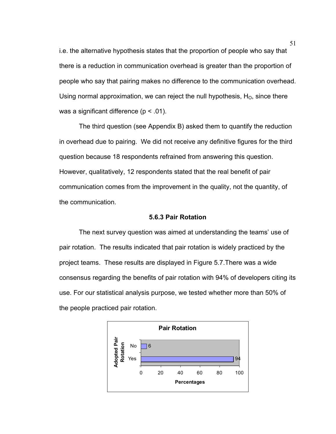i.e. the alternative hypothesis states that the proportion of people who say that there is a reduction in communication overhead is greater than the proportion of people who say that pairing makes no difference to the communication overhead. Using normal approximation, we can reject the null hypothesis,  $H<sub>O</sub>$ , since there was a significant difference  $(p < .01)$ .

The third question (see Appendix B) asked them to quantify the reduction in overhead due to pairing. We did not receive any definitive figures for the third question because 18 respondents refrained from answering this question. However, qualitatively, 12 respondents stated that the real benefit of pair communication comes from the improvement in the quality, not the quantity, of the communication.

## **5.6.3 Pair Rotation**

The next survey question was aimed at understanding the teams' use of pair rotation. The results indicated that pair rotation is widely practiced by the project teams. These results are displayed in Figure 5.7.There was a wide consensus regarding the benefits of pair rotation with 94% of developers citing its use. For our statistical analysis purpose, we tested whether more than 50% of the people practiced pair rotation.

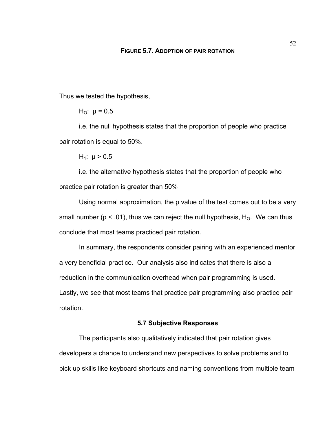Thus we tested the hypothesis,

H<sub>O</sub>:  $\mu$  = 0.5

i.e. the null hypothesis states that the proportion of people who practice pair rotation is equal to 50%.

H<sub>1</sub>:  $\mu > 0.5$ 

i.e. the alternative hypothesis states that the proportion of people who practice pair rotation is greater than 50%

Using normal approximation, the p value of the test comes out to be a very small number ( $p < .01$ ), thus we can reject the null hypothesis,  $H_0$ . We can thus conclude that most teams practiced pair rotation.

In summary, the respondents consider pairing with an experienced mentor a very beneficial practice. Our analysis also indicates that there is also a reduction in the communication overhead when pair programming is used. Lastly, we see that most teams that practice pair programming also practice pair rotation.

## **5.7 Subjective Responses**

The participants also qualitatively indicated that pair rotation gives developers a chance to understand new perspectives to solve problems and to pick up skills like keyboard shortcuts and naming conventions from multiple team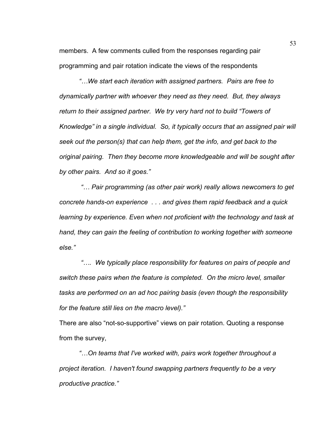members. A few comments culled from the responses regarding pair programming and pair rotation indicate the views of the respondents

*"…We start each iteration with assigned partners. Pairs are free to dynamically partner with whoever they need as they need. But, they always return to their assigned partner. We try very hard not to build "Towers of Knowledge" in a single individual. So, it typically occurs that an assigned pair will seek out the person(s) that can help them, get the info, and get back to the original pairing. Then they become more knowledgeable and will be sought after by other pairs. And so it goes."* 

 *"… Pair programming (as other pair work) really allows newcomers to get concrete hands-on experience . . . and gives them rapid feedback and a quick learning by experience. Even when not proficient with the technology and task at hand, they can gain the feeling of contribution to working together with someone else."* 

*"…. We typically place responsibility for features on pairs of people and switch these pairs when the feature is completed. On the micro level, smaller tasks are performed on an ad hoc pairing basis (even though the responsibility for the feature still lies on the macro level)."* 

There are also "not-so-supportive" views on pair rotation. Quoting a response from the survey,

*"…On teams that I've worked with, pairs work together throughout a project iteration. I haven't found swapping partners frequently to be a very productive practice."*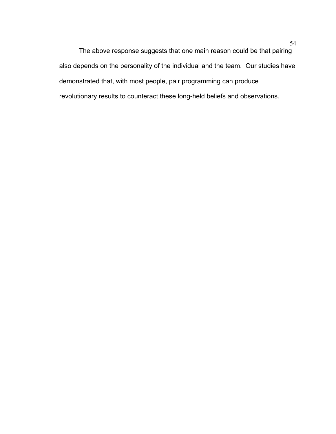The above response suggests that one main reason could be that pairing also depends on the personality of the individual and the team. Our studies have demonstrated that, with most people, pair programming can produce revolutionary results to counteract these long-held beliefs and observations.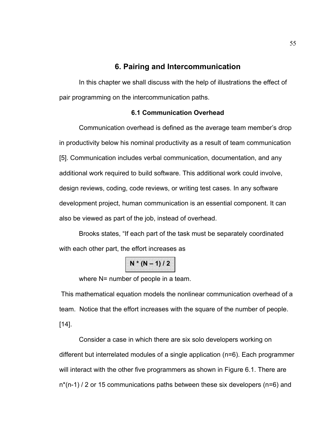# **6. Pairing and Intercommunication**

In this chapter we shall discuss with the help of illustrations the effect of pair programming on the intercommunication paths.

# **6.1 Communication Overhead**

Communication overhead is defined as the average team member's drop in productivity below his nominal productivity as a result of team communication [5]. Communication includes verbal communication, documentation, and any additional work required to build software. This additional work could involve, design reviews, coding, code reviews, or writing test cases. In any software development project, human communication is an essential component. It can also be viewed as part of the job, instead of overhead.

Brooks states, "If each part of the task must be separately coordinated with each other part, the effort increases as

 $N * (N - 1) / 2$ 

where N= number of people in a team.

 This mathematical equation models the nonlinear communication overhead of a team. Notice that the effort increases with the square of the number of people. [14].

Consider a case in which there are six solo developers working on different but interrelated modules of a single application (n=6). Each programmer will interact with the other five programmers as shown in Figure 6.1. There are n\*(n-1) / 2 or 15 communications paths between these six developers (n=6) and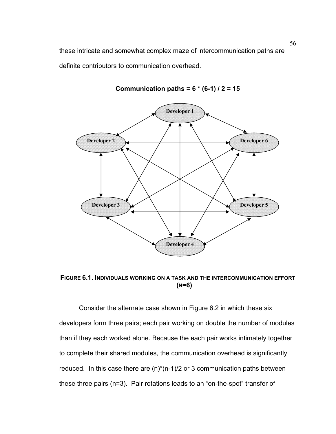these intricate and somewhat complex maze of intercommunication paths are definite contributors to communication overhead.



**Communication paths = 6 \* (6-1) / 2 = 15** 

**FIGURE 6.1. INDIVIDUALS WORKING ON A TASK AND THE INTERCOMMUNICATION EFFORT (N=6)** 

Consider the alternate case shown in Figure 6.2 in which these six developers form three pairs; each pair working on double the number of modules than if they each worked alone. Because the each pair works intimately together to complete their shared modules, the communication overhead is significantly reduced. In this case there are  $(n)^*(n-1)/2$  or 3 communication paths between these three pairs (n=3). Pair rotations leads to an "on-the-spot" transfer of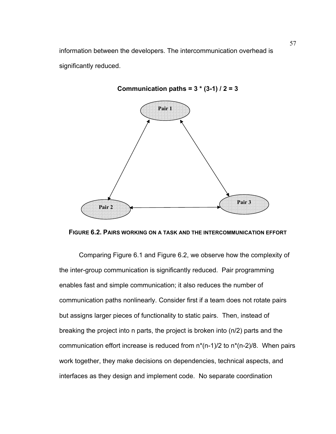information between the developers. The intercommunication overhead is significantly reduced.

# **Pair 3 Pair 1 Pair 2**

# **Communication paths = 3 \* (3-1) / 2 = 3**



Comparing Figure 6.1 and Figure 6.2, we observe how the complexity of the inter-group communication is significantly reduced. Pair programming enables fast and simple communication; it also reduces the number of communication paths nonlinearly. Consider first if a team does not rotate pairs but assigns larger pieces of functionality to static pairs. Then, instead of breaking the project into n parts, the project is broken into (n/2) parts and the communication effort increase is reduced from  $n^*(n-1)/2$  to  $n^*(n-2)/8$ . When pairs work together, they make decisions on dependencies, technical aspects, and interfaces as they design and implement code. No separate coordination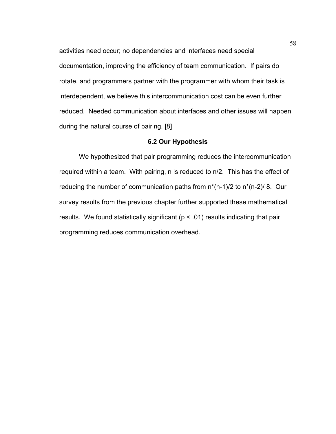activities need occur; no dependencies and interfaces need special documentation, improving the efficiency of team communication. If pairs do rotate, and programmers partner with the programmer with whom their task is interdependent, we believe this intercommunication cost can be even further reduced. Needed communication about interfaces and other issues will happen during the natural course of pairing. [8]

## **6.2 Our Hypothesis**

We hypothesized that pair programming reduces the intercommunication required within a team. With pairing, n is reduced to n/2. This has the effect of reducing the number of communication paths from  $n^*(n-1)/2$  to  $n^*(n-2)/8$ . Our survey results from the previous chapter further supported these mathematical results. We found statistically significant ( $p < .01$ ) results indicating that pair programming reduces communication overhead.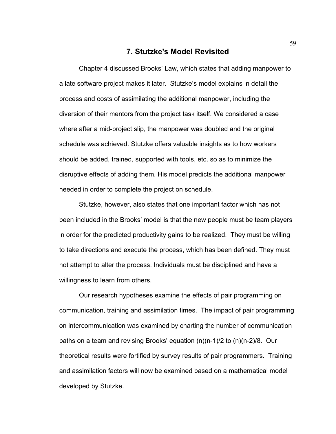# **7. Stutzke's Model Revisited**

Chapter 4 discussed Brooks' Law, which states that adding manpower to a late software project makes it later. Stutzke's model explains in detail the process and costs of assimilating the additional manpower, including the diversion of their mentors from the project task itself. We considered a case where after a mid-project slip, the manpower was doubled and the original schedule was achieved. Stutzke offers valuable insights as to how workers should be added, trained, supported with tools, etc. so as to minimize the disruptive effects of adding them. His model predicts the additional manpower needed in order to complete the project on schedule.

Stutzke, however, also states that one important factor which has not been included in the Brooks' model is that the new people must be team players in order for the predicted productivity gains to be realized. They must be willing to take directions and execute the process, which has been defined. They must not attempt to alter the process. Individuals must be disciplined and have a willingness to learn from others.

Our research hypotheses examine the effects of pair programming on communication, training and assimilation times. The impact of pair programming on intercommunication was examined by charting the number of communication paths on a team and revising Brooks' equation (n)(n-1)/2 to (n)(n-2)/8. Our theoretical results were fortified by survey results of pair programmers. Training and assimilation factors will now be examined based on a mathematical model developed by Stutzke.

59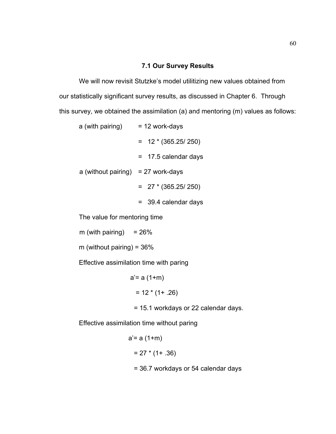## **7.1 Our Survey Results**

We will now revisit Stutzke's model utilitizing new values obtained from our statistically significant survey results, as discussed in Chapter 6. Through this survey, we obtained the assimilation (a) and mentoring (m) values as follows:

- a (with pairing)  $= 12$  work-days
	- $= 12 * (365.25 / 250)$
	- = 17.5 calendar days
- a (without pairing)  $= 27$  work-days
	- $= 27 * (365.25 / 250)$
	- = 39.4 calendar days

The value for mentoring time

m (with pairing)  $= 26\%$ 

m (without pairing) =  $36\%$ 

Effective assimilation time with paring

 $a' = a (1+m)$  $= 12 * (1 + .26)$ 

= 15.1 workdays or 22 calendar days.

Effective assimilation time without paring

 $a' = a (1+m)$  $= 27 * (1 + .36)$ = 36.7 workdays or 54 calendar days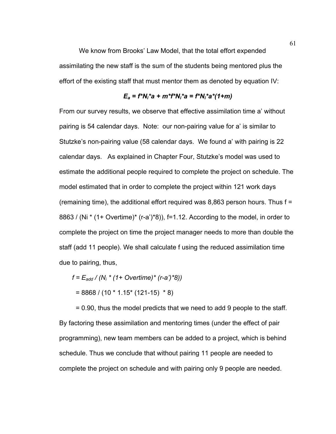We know from Brooks' Law Model, that the total effort expended assimilating the new staff is the sum of the students being mentored plus the effort of the existing staff that must mentor them as denoted by equation IV:

#### *Ea = f\*Ni\*a + m\*f\*Ni\*a = f\*Ni\*a\*(1+m)*

From our survey results, we observe that effective assimilation time a' without pairing is 54 calendar days. Note: our non-pairing value for a' is similar to Stutzke's non-pairing value (58 calendar days. We found a' with pairing is 22 calendar days. As explained in Chapter Four, Stutzke's model was used to estimate the additional people required to complete the project on schedule. The model estimated that in order to complete the project within 121 work days (remaining time), the additional effort required was 8,863 person hours. Thus f = 8863 / (Ni  $*$  (1+ Overtime) $*$  (r-a') $*8$ )), f=1.12. According to the model, in order to complete the project on time the project manager needs to more than double the staff (add 11 people). We shall calculate f using the reduced assimilation time due to pairing, thus,

$$
f = E_{add} / (N_i * (1 + Overtime) * (r-a) * 8))
$$

$$
= 8868 / (10 * 1.15 * (121-15) * 8)
$$

 = 0.90, thus the model predicts that we need to add 9 people to the staff. By factoring these assimilation and mentoring times (under the effect of pair programming), new team members can be added to a project, which is behind schedule. Thus we conclude that without pairing 11 people are needed to complete the project on schedule and with pairing only 9 people are needed.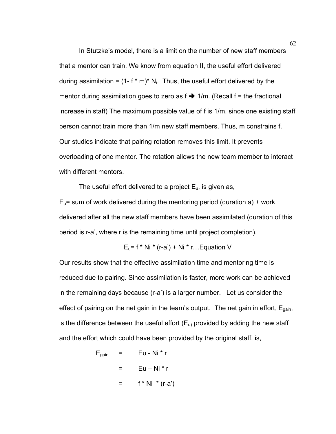In Stutzke's model, there is a limit on the number of new staff members that a mentor can train. We know from equation II, the useful effort delivered during assimilation =  $(1 - f * m)^* N_i$ . Thus, the useful effort delivered by the mentor during assimilation goes to zero as  $f \rightarrow 1/m$ . (Recall  $f =$  the fractional increase in staff) The maximum possible value of f is 1/m, since one existing staff person cannot train more than 1/m new staff members. Thus, m constrains f. Our studies indicate that pairing rotation removes this limit. It prevents overloading of one mentor. The rotation allows the new team member to interact with different mentors.

The useful effort delivered to a project  $E_u$ , is given as,

 $E<sub>u</sub>$  = sum of work delivered during the mentoring period (duration a) + work delivered after all the new staff members have been assimilated (duration of this period is r-a', where r is the remaining time until project completion).

$$
E_u = f * Ni * (r-a') + Ni * r...
$$
 Equation V

Our results show that the effective assimilation time and mentoring time is reduced due to pairing. Since assimilation is faster, more work can be achieved in the remaining days because (r-a') is a larger number. Let us consider the effect of pairing on the net gain in the team's output. The net gain in effort,  $E_{gain}$ , is the difference between the useful effort  $(E_u)$  provided by adding the new staff and the effort which could have been provided by the original staff, is,

$$
E_{gain} = Eu - Ni * r
$$
  
= Eu - Ni \* r  
= f \* Ni \* (r-a')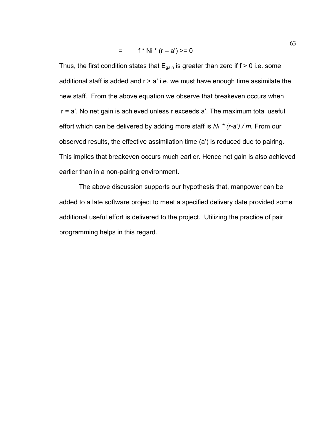$=$  f \* Ni \* (r – a') >= 0

Thus, the first condition states that  $E_{\text{gain}}$  is greater than zero if  $f > 0$  i.e. some additional staff is added and  $r > a'$  i.e. we must have enough time assimilate the new staff. From the above equation we observe that breakeven occurs when r = a'. No net gain is achieved unless r exceeds a'. The maximum total useful effort which can be delivered by adding more staff is *Ni \* (r-a') / m.* From our observed results, the effective assimilation time (a') is reduced due to pairing. This implies that breakeven occurs much earlier. Hence net gain is also achieved earlier than in a non-pairing environment.

The above discussion supports our hypothesis that, manpower can be added to a late software project to meet a specified delivery date provided some additional useful effort is delivered to the project. Utilizing the practice of pair programming helps in this regard.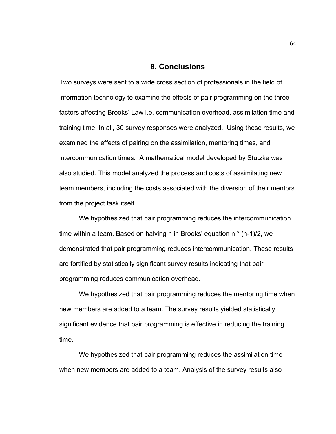### **8. Conclusions**

Two surveys were sent to a wide cross section of professionals in the field of information technology to examine the effects of pair programming on the three factors affecting Brooks' Law i.e. communication overhead, assimilation time and training time. In all, 30 survey responses were analyzed. Using these results, we examined the effects of pairing on the assimilation, mentoring times, and intercommunication times. A mathematical model developed by Stutzke was also studied. This model analyzed the process and costs of assimilating new team members, including the costs associated with the diversion of their mentors from the project task itself.

We hypothesized that pair programming reduces the intercommunication time within a team. Based on halving n in Brooks' equation n \* (n-1)/2, we demonstrated that pair programming reduces intercommunication. These results are fortified by statistically significant survey results indicating that pair programming reduces communication overhead.

We hypothesized that pair programming reduces the mentoring time when new members are added to a team. The survey results yielded statistically significant evidence that pair programming is effective in reducing the training time.

We hypothesized that pair programming reduces the assimilation time when new members are added to a team. Analysis of the survey results also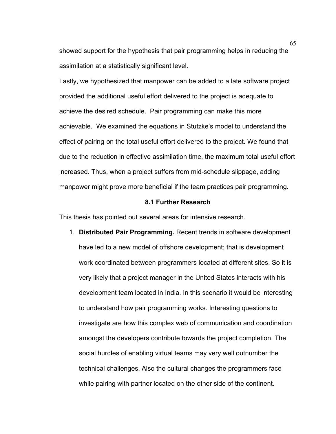showed support for the hypothesis that pair programming helps in reducing the assimilation at a statistically significant level.

Lastly, we hypothesized that manpower can be added to a late software project provided the additional useful effort delivered to the project is adequate to achieve the desired schedule. Pair programming can make this more achievable. We examined the equations in Stutzke's model to understand the effect of pairing on the total useful effort delivered to the project. We found that due to the reduction in effective assimilation time, the maximum total useful effort increased. Thus, when a project suffers from mid-schedule slippage, adding manpower might prove more beneficial if the team practices pair programming.

#### **8.1 Further Research**

This thesis has pointed out several areas for intensive research.

1. **Distributed Pair Programming.** Recent trends in software development have led to a new model of offshore development; that is development work coordinated between programmers located at different sites. So it is very likely that a project manager in the United States interacts with his development team located in India. In this scenario it would be interesting to understand how pair programming works. Interesting questions to investigate are how this complex web of communication and coordination amongst the developers contribute towards the project completion. The social hurdles of enabling virtual teams may very well outnumber the technical challenges. Also the cultural changes the programmers face while pairing with partner located on the other side of the continent.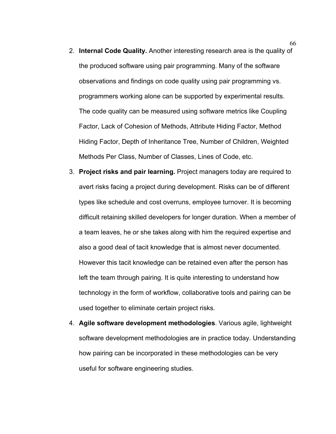- 2. **Internal Code Quality.** Another interesting research area is the quality of the produced software using pair programming. Many of the software observations and findings on code quality using pair programming vs. programmers working alone can be supported by experimental results. The code quality can be measured using software metrics like Coupling Factor, Lack of Cohesion of Methods, Attribute Hiding Factor, Method Hiding Factor, Depth of Inheritance Tree, Number of Children, Weighted Methods Per Class, Number of Classes, Lines of Code, etc.
- 3. **Project risks and pair learning.** Project managers today are required to avert risks facing a project during development. Risks can be of different types like schedule and cost overruns, employee turnover. It is becoming difficult retaining skilled developers for longer duration. When a member of a team leaves, he or she takes along with him the required expertise and also a good deal of tacit knowledge that is almost never documented. However this tacit knowledge can be retained even after the person has left the team through pairing. It is quite interesting to understand how technology in the form of workflow, collaborative tools and pairing can be used together to eliminate certain project risks.
- 4. **Agile software development methodologies**. Various agile, lightweight software development methodologies are in practice today. Understanding how pairing can be incorporated in these methodologies can be very useful for software engineering studies.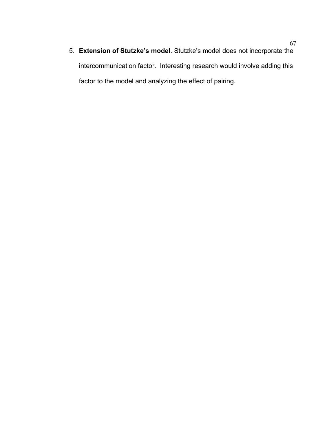5. **Extension of Stutzke's model**. Stutzke's model does not incorporate the intercommunication factor. Interesting research would involve adding this factor to the model and analyzing the effect of pairing.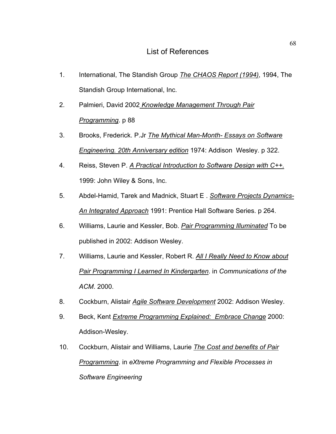- 1. International, The Standish Group *The CHAOS Report (1994)*, 1994, The Standish Group International, Inc.
- 2. Palmieri, David 2002 *Knowledge Management Through Pair Programming*. p 88
- 3. Brooks, Frederick. P.Jr *The Mythical Man-Month- Essays on Software Engineering. 20th Anniversary edition* 1974: Addison Wesley. p 322.
- 4. Reiss, Steven P. *A Practical Introduction to Software Design with C++.* 1999: John Wiley & Sons, Inc.
- 5. Abdel-Hamid, Tarek and Madnick, Stuart E . *Software Projects Dynamics-An Integrated Approach* 1991: Prentice Hall Software Series. p 264.
- 6. Williams, Laurie and Kessler, Bob. *Pair Programming Illuminated* To be published in 2002: Addison Wesley.
- 7. Williams, Laurie and Kessler, Robert R. *All I Really Need to Know about Pair Programming I Learned In Kindergarten*. in *Communications of the ACM*. 2000.
- 8. Cockburn, Alistair *Agile Software Development* 2002: Addison Wesley.
- 9. Beck, Kent *Extreme Programming Explained: Embrace Change* 2000: Addison-Wesley.
- 10. Cockburn, Alistair and Williams, Laurie *The Cost and benefits of Pair Programming*. in *eXtreme Programming and Flexible Processes in Software Engineering*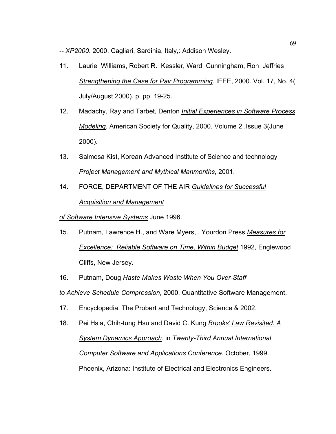*-- XP2000*. 2000. Cagliari, Sardinia, Italy,: Addison Wesley.

- 11. Laurie Williams, Robert R. Kessler, Ward Cunningham, Ron Jeffries *Strengthening the Case for Pair Programming.* IEEE, 2000. Vol. 17, No. 4( July/August 2000). p. pp. 19-25.
- 12. Madachy, Ray and Tarbet, Denton *Initial Experiences in Software Process Modeling.* American Society for Quality, 2000. Volume 2 ,Issue 3(June 2000).
- 13. Salmosa Kist, Korean Advanced Institute of Science and technology *Project Management and Mythical Manmonths*, 2001.
- 14. FORCE, DEPARTMENT OF THE AIR *Guidelines for Successful Acquisition and Management*

# *of Software Intensive Systems* June 1996.

- 15. Putnam, Lawrence H., and Ware Myers, , Yourdon Press *Measures for Excellence: Reliable Software on Time, Within Budget* 1992, Englewood Cliffs, New Jersey.
- 16. Putnam, Doug *Haste Makes Waste When You Over-Staff*

*to Achieve Schedule Compression*, 2000, Quantitative Software Management.

- 17. Encyclopedia, The Probert and Technology, Science & 2002.
- 18. Pei Hsia, Chih-tung Hsu and David C. Kung *Brooks' Law Revisited: A System Dynamics Approach*. in *Twenty-Third Annual International Computer Software and Applications Conference*. October, 1999. Phoenix, Arizona: Institute of Electrical and Electronics Engineers.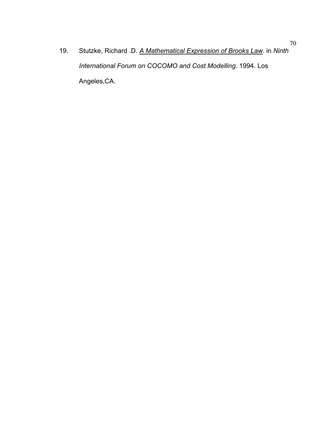19. Stutzke, Richard .D. *A Mathematical Expression of Brooks Law*. in *Ninth International Forum on COCOMO and Cost Modelling*. 1994. Los Angeles,CA.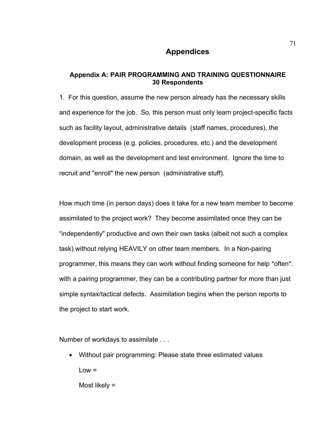# **Appendices**

# **Appendix A: PAIR PROGRAMMING AND TRAINING QUESTIONNAIRE 30 Respondents**

1. For this question, assume the new person already has the necessary skills and experience for the job. So, this person must only learn project-specific facts such as facility layout, administrative details (staff names, procedures), the development process (e.g. policies, procedures, etc.) and the development domain, as well as the development and test environment. Ignore the time to recruit and "enroll" the new person (administrative stuff).

How much time (in person days) does it take for a new team member to become assimilated to the project work? They become assimilated once they can be "independently" productive and own their own tasks (albeit not such a complex task) without relying HEAVILY on other team members. In a Non-pairing programmer, this means they can work without finding someone for help \*often\*. with a pairing programmer, they can be a contributing partner for more than just simple syntax/tactical defects. Assimilation begins when the person reports to the project to start work.

Number of workdays to assimilate . . .

• Without pair programming: Please state three estimated values  $Low =$ 

Most likely =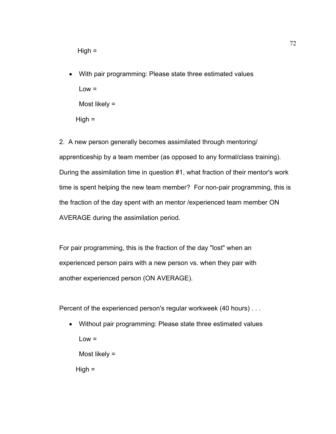• With pair programming: Please state three estimated values  $Low =$ Most likely =  $High =$ 

2. A new person generally becomes assimilated through mentoring/ apprenticeship by a team member (as opposed to any formal/class training). During the assimilation time in question #1, what fraction of their mentor's work time is spent helping the new team member? For non-pair programming, this is the fraction of the day spent with an mentor /experienced team member ON AVERAGE during the assimilation period.

For pair programming, this is the fraction of the day "lost" when an experienced person pairs with a new person vs. when they pair with another experienced person (ON AVERAGE).

Percent of the experienced person's regular workweek (40 hours) . . .

• Without pair programming: Please state three estimated values  $Low =$ Most likely =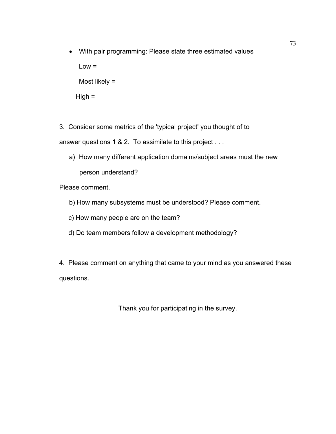- With pair programming: Please state three estimated values  $Low =$ Most likely =  $High =$
- 3. Consider some metrics of the 'typical project' you thought of to answer questions 1 & 2. To assimilate to this project . . .
	- a) How many different application domains/subject areas must the new person understand?

Please comment.

- b) How many subsystems must be understood? Please comment.
- c) How many people are on the team?
- d) Do team members follow a development methodology?

4. Please comment on anything that came to your mind as you answered these questions.

Thank you for participating in the survey.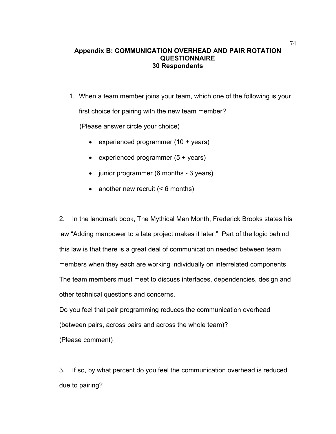### 74 **Appendix B: COMMUNICATION OVERHEAD AND PAIR ROTATION QUESTIONNAIRE 30 Respondents**

1. When a team member joins your team, which one of the following is your first choice for pairing with the new team member?

(Please answer circle your choice)

- experienced programmer (10 + years)
- experienced programmer (5 + years)
- junior programmer (6 months 3 years)
- another new recruit (< 6 months)

2. In the landmark book, The Mythical Man Month, Frederick Brooks states his law "Adding manpower to a late project makes it later." Part of the logic behind this law is that there is a great deal of communication needed between team members when they each are working individually on interrelated components. The team members must meet to discuss interfaces, dependencies, design and other technical questions and concerns.

Do you feel that pair programming reduces the communication overhead (between pairs, across pairs and across the whole team)?

(Please comment)

3. If so, by what percent do you feel the communication overhead is reduced due to pairing?